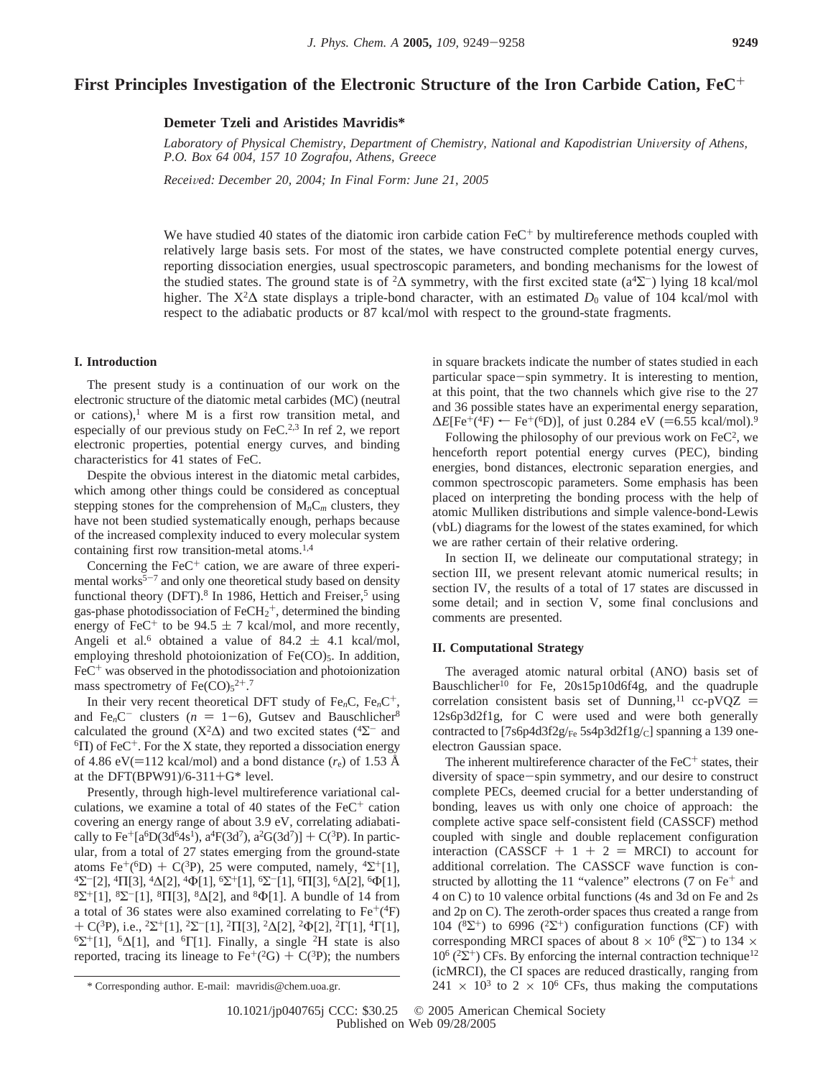# **First Principles Investigation of the Electronic Structure of the Iron Carbide Cation, FeC**+

**Demeter Tzeli and Aristides Mavridis\***

Laboratory of Physical Chemistry, Department of Chemistry, National and Kapodistrian University of Athens, *P.O. Box 64 004, 157 10 Zografou, Athens, Greece*

*Recei*V*ed: December 20, 2004; In Final Form: June 21, 2005*

We have studied 40 states of the diatomic iron carbide cation FeC<sup>+</sup> by multireference methods coupled with relatively large basis sets. For most of the states, we have constructed complete potential energy curves, reporting dissociation energies, usual spectroscopic parameters, and bonding mechanisms for the lowest of the studied states. The ground state is of  ${}^2\Delta$  symmetry, with the first excited state (a<sup>4</sup> $\Sigma^-$ ) lying 18 kcal/mol higher. The  $X^2\Delta$  state displays a triple-bond character, with an estimated  $D_0$  value of 104 kcal/mol with respect to the adiabatic products or 87 kcal/mol with respect to the ground-state fragments.

#### **I. Introduction**

The present study is a continuation of our work on the electronic structure of the diatomic metal carbides (MC) (neutral or cations),<sup>1</sup> where M is a first row transition metal, and especially of our previous study on FeC.2,3 In ref 2, we report electronic properties, potential energy curves, and binding characteristics for 41 states of FeC.

Despite the obvious interest in the diatomic metal carbides, which among other things could be considered as conceptual stepping stones for the comprehension of  $M_nC_m$  clusters, they have not been studied systematically enough, perhaps because of the increased complexity induced to every molecular system containing first row transition-metal atoms.1,4

Concerning the  $FeC<sup>+</sup>$  cation, we are aware of three experimental works<sup>5-7</sup> and only one theoretical study based on density functional theory (DFT). $8$  In 1986, Hettich and Freiser, $5$  using gas-phase photodissociation of  $FeCH<sub>2</sub><sup>+</sup>$ , determined the binding energy of FeC<sup>+</sup> to be 94.5  $\pm$  7 kcal/mol, and more recently, Angeli et al.<sup>6</sup> obtained a value of 84.2  $\pm$  4.1 kcal/mol, employing threshold photoionization of  $Fe(CO)_5$ . In addition,  $FeC<sup>+</sup>$  was observed in the photodissociation and photoionization mass spectrometry of  $Fe(CO)_{5}^{2+}.^{7}$ 

In their very recent theoretical DFT study of Fe<sub>n</sub>C, Fe<sub>n</sub>C<sup>+</sup>, and Fe<sub>n</sub>C<sup>-</sup> clusters ( $n = 1-6$ ), Gutsev and Bauschlicher<sup>8</sup> calculated the ground ( $X^2\Delta$ ) and two excited states ( ${}^4\Sigma^-$  and  ${}^6\Pi$ ) of FeC<sup>+</sup>. For the X state, they reported a dissociation energy of 4.86 eV( $=$ 112 kcal/mol) and a bond distance ( $r_e$ ) of 1.53 Å at the DFT(BPW91)/6-311+ $G^*$  level.

Presently, through high-level multireference variational calculations, we examine a total of 40 states of the  $FeC<sup>+</sup>$  cation covering an energy range of about 3.9 eV, correlating adiabatically to Fe<sup>+</sup>[a<sup>6</sup>D(3d<sup>6</sup>4s<sup>1</sup>), a<sup>4</sup>F(3d<sup>7</sup>), a<sup>2</sup>G(3d<sup>7</sup>)] + C(<sup>3</sup>P). In particular, from a total of 27 states emerging from the ground-state<br>atoms  $Fe^+(^6D) + C(^3P)$ , 25 were computed, namely,  $^4\Sigma^+[1]$ ,  ${}^{4}\Sigma^{-}[2], {}^{4}\Pi[3], {}^{4}\Delta[2], {}^{4}\Phi[1], {}^{6}\Sigma^{+}[1], {}^{6}\Sigma^{-}[1], {}^{6}\Pi[3], {}^{6}\Delta[2], {}^{6}\Phi[1],$ <br> ${}^{8}\Sigma^{+}[1], {}^{8}\Sigma^{-}[1], {}^{8}\Pi[3], {}^{8}\Delta[2],$  and  ${}^{8}\Phi[1].$  A bundle of 14 from a total of 36 states were also examined correlating to Fe<sup>+</sup>(<sup>4</sup>F) + C(<sup>3</sup>P), i.e., <sup>2</sup> $\Sigma$ <sup>+</sup>[1], <sup>2</sup> $\Sigma$ <sup>-</sup>[1], <sup>2</sup> $\Pi$ [3], <sup>2</sup> $\Delta$ [2], <sup>2</sup> $\Phi$ [2], <sup>2</sup> $\Gamma$ [1], <sup>4</sup> $\Gamma$ [1],  ${}^{6}\Sigma^{+}[1]$ , <sup>6</sup> $\Delta[1]$ , and <sup>6</sup>Γ[1]. Finally, a single <sup>2</sup>H state is also reported, tracing its lineage to  $\text{Fe}^+(^2G) + \text{C}^{3}P$ ); the numbers

in square brackets indicate the number of states studied in each particular space-spin symmetry. It is interesting to mention, at this point, that the two channels which give rise to the 27 and 36 possible states have an experimental energy separation,  $\Delta E$ [Fe<sup>+</sup>(<sup>4</sup>F) ← Fe<sup>+</sup>(<sup>6</sup>D)], of just 0.284 eV (=6.55 kcal/mol).<sup>9</sup>

Following the philosophy of our previous work on  $FeC<sup>2</sup>$ , we henceforth report potential energy curves (PEC), binding energies, bond distances, electronic separation energies, and common spectroscopic parameters. Some emphasis has been placed on interpreting the bonding process with the help of atomic Mulliken distributions and simple valence-bond-Lewis (vbL) diagrams for the lowest of the states examined, for which we are rather certain of their relative ordering.

In section II, we delineate our computational strategy; in section III, we present relevant atomic numerical results; in section IV, the results of a total of 17 states are discussed in some detail; and in section V, some final conclusions and comments are presented.

### **II. Computational Strategy**

The averaged atomic natural orbital (ANO) basis set of Bauschlicher<sup>10</sup> for Fe,  $20s15p10d6f4g$ , and the quadruple correlation consistent basis set of Dunning,<sup>11</sup> cc-pVQZ = 12s6p3d2f1g, for C were used and were both generally contracted to  $[7s6p4d3f2g/{\rm Fe} 5s4p3d2f1g/{\rm c}]$  spanning a 139 oneelectron Gaussian space.

The inherent multireference character of the FeC<sup>+</sup> states, their diversity of space-spin symmetry, and our desire to construct complete PECs, deemed crucial for a better understanding of bonding, leaves us with only one choice of approach: the complete active space self-consistent field (CASSCF) method coupled with single and double replacement configuration interaction (CASSCF +  $1 + 2 = MRCI$ ) to account for additional correlation. The CASSCF wave function is constructed by allotting the 11 "valence" electrons  $(7 \text{ on } \text{Fe}^+ \text{ and }$ 4 on C) to 10 valence orbital functions (4s and 3d on Fe and 2s and 2p on C). The zeroth-order spaces thus created a range from 104 ( ${}^{8}\Sigma^{+}$ ) to 6996 ( ${}^{2}\Sigma^{+}$ ) configuration functions (CF) with corresponding MRCI spaces of about 8  $\times$  10<sup>6</sup> (<sup>8</sup> $\Sigma$ <sup>-</sup>) to 134  $\times$  $10^6$  (<sup>2</sup> $\Sigma$ <sup>+</sup>) CFs. By enforcing the internal contraction technique<sup>12</sup> (icMRCI), the CI spaces are reduced drastically, ranging from \* Corresponding author. E-mail: mavridis@chem.uoa.gr.  $241 \times 10^3$  to  $2 \times 10^6$  CFs, thus making the computations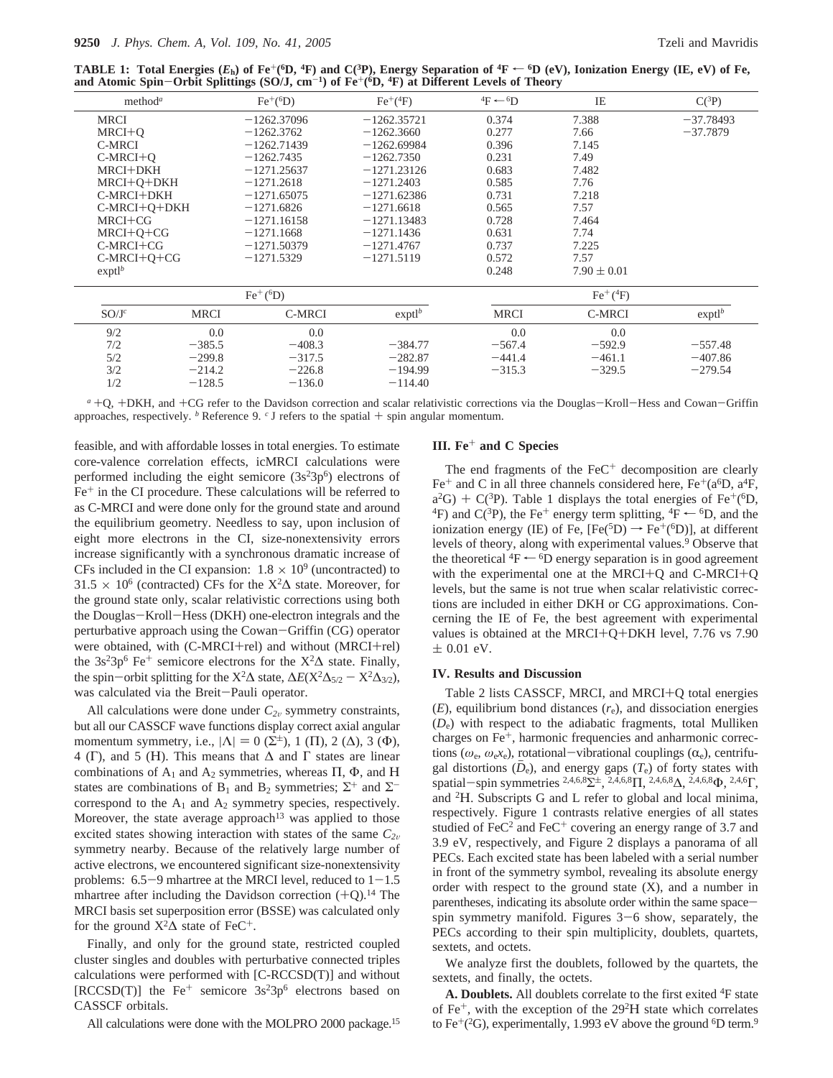**TABLE 1:** Total Energies  $(E_h)$  of Fe<sup>+</sup>(<sup>6</sup>D, <sup>4</sup>F) and C(<sup>3</sup>P), Energy Separation of <sup>4</sup>F  $\leftarrow$  <sup>6</sup>D (eV), Ionization Energy (IE, eV) of Fe, **and Atomic Spin**-**Orbit Splittings (SO/J, cm**-**1) of Fe**+**(6D, 4F) at Different Levels of Theory**

| method <sup><math>a</math></sup> |             | $Fe^{+}(6D)$  | $Fe^{+}(^{4}F)$ | $\rm ^4F \leftarrow ^6D$ | IE              | $C(^3P)$    |  |
|----------------------------------|-------------|---------------|-----------------|--------------------------|-----------------|-------------|--|
| <b>MRCI</b>                      |             | $-1262.37096$ | $-1262.35721$   | 0.374                    | 7.388           | $-37.78493$ |  |
| MRCI+O                           |             | $-1262.3762$  | $-1262.3660$    | 0.277                    | 7.66            | $-37.7879$  |  |
| C-MRCI                           |             | $-1262.71439$ | $-1262.69984$   | 0.396                    | 7.145           |             |  |
| $C-MRCI+O$                       |             | $-1262.7435$  | $-1262.7350$    | 0.231                    | 7.49            |             |  |
| MRCI+DKH                         |             | $-1271.25637$ | $-1271.23126$   | 0.683                    | 7.482           |             |  |
| MRCI+O+DKH                       |             | $-1271.2618$  | $-1271.2403$    | 0.585                    | 7.76            |             |  |
| C-MRCI+DKH                       |             | $-1271.65075$ | $-1271.62386$   | 0.731                    | 7.218           |             |  |
| C-MRCI+Q+DKH                     |             | $-1271.6826$  | $-1271.6618$    | 0.565                    | 7.57            |             |  |
| MRCI+CG                          |             | $-1271.16158$ | $-1271.13483$   | 0.728                    | 7.464           |             |  |
| MRCI+O+CG                        |             | $-1271.1668$  | $-1271.1436$    | 0.631                    | 7.74            |             |  |
| C-MRCI+CG                        |             | $-1271.50379$ | $-1271.4767$    | 0.737                    | 7.225           |             |  |
| $C-MRCI+O+CG$                    |             | $-1271.5329$  | $-1271.5119$    | 0.572                    | 7.57            |             |  |
| $exptl^b$                        |             |               |                 | 0.248                    | $7.90 \pm 0.01$ |             |  |
|                                  |             | $Fe+(6D)$     |                 | $Fe^+(^{4}F)$            |                 |             |  |
| $SO/J^c$                         | <b>MRCI</b> | <b>C-MRCI</b> | $exptl^b$       | <b>MRCI</b>              | C-MRCI          | $exptl^b$   |  |
| 9/2                              | 0.0         | 0.0           |                 | 0.0                      | 0.0             |             |  |
| 7/2                              | $-385.5$    | $-408.3$      | $-384.77$       | $-567.4$                 | $-592.9$        | $-557.48$   |  |
| 5/2                              | $-299.8$    | $-317.5$      | $-282.87$       | $-441.4$                 | $-461.1$        | $-407.86$   |  |
| 3/2                              | $-2142$     | $-2268$       | $-194.99$       | $-3153$                  | $-3295$         | $-279.54$   |  |

 $1/2$   $-128.5$   $-136.0$   $-114.40$  $a + Q$ , +DKH, and +CG refer to the Davidson correction and scalar relativistic corrections via the Douglas-Kroll-Hess and Cowan-Griffin<br>proaches respectively <sup>b</sup> Reference 9 <sup>c</sup> I refers to the spatial + spin appular momen approaches, respectively.  $\dot{b}$  Reference 9.  $\dot{c}$  J refers to the spatial  $+$  spin angular momentum.

 $\frac{3}{2}$   $\frac{-214.2}{-128.5}$   $\frac{-226.8}{-114.40}$   $\frac{-315.3}{-329.5}$   $\frac{-329.5}{-279.54}$ 

feasible, and with affordable losses in total energies. To estimate core-valence correlation effects, icMRCI calculations were performed including the eight semicore  $(3s<sup>2</sup>3p<sup>6</sup>)$  electrons of  $Fe<sup>+</sup>$  in the CI procedure. These calculations will be referred to as C-MRCI and were done only for the ground state and around the equilibrium geometry. Needless to say, upon inclusion of eight more electrons in the CI, size-nonextensivity errors increase significantly with a synchronous dramatic increase of CFs included in the CI expansion:  $1.8 \times 10^9$  (uncontracted) to  $31.5 \times 10^6$  (contracted) CFs for the X<sup>2</sup> $\Delta$  state. Moreover, for the ground state only, scalar relativistic corrections using both the Douglas-Kroll-Hess (DKH) one-electron integrals and the perturbative approach using the Cowan-Griffin (CG) operator were obtained, with (C-MRCI+rel) and without (MRCI+rel) the  $3s^23p^6$  Fe<sup>+</sup> semicore electrons for the  $X^2\Delta$  state. Finally, the spin-orbit splitting for the X<sup>2</sup> $\Delta$  state,  $\Delta E(X^2 \Delta_{5/2} - X^2 \Delta_{3/2})$ , was calculated via the Breit-Pauli operator.

All calculations were done under  $C_{2v}$  symmetry constraints, but all our CASSCF wave functions display correct axial angular momentum symmetry, i.e.,  $|\Lambda| = 0$  (Σ<sup>±</sup>), 1 (Π), 2 (Δ), 3 (Φ), 4 (Γ), and 5 (Η). This means that  $\Delta$  and Γ states are linear combinations of  $A_1$  and  $A_2$  symmetries, whereas  $\Pi$ ,  $\Phi$ , and  $H$ states are combinations of B<sub>1</sub> and B<sub>2</sub> symmetries;  $\Sigma^+$  and  $\Sigma^$ correspond to the  $A_1$  and  $A_2$  symmetry species, respectively. Moreover, the state average approach<sup>13</sup> was applied to those excited states showing interaction with states of the same  $C_{2v}$ symmetry nearby. Because of the relatively large number of active electrons, we encountered significant size-nonextensivity problems:  $6.5-9$  mhartree at the MRCI level, reduced to  $1-1.5$ mhartree after including the Davidson correction  $(+Q)$ .<sup>14</sup> The MRCI basis set superposition error (BSSE) was calculated only for the ground  $X^2\Delta$  state of FeC<sup>+</sup>.

Finally, and only for the ground state, restricted coupled cluster singles and doubles with perturbative connected triples calculations were performed with [C-RCCSD(T)] and without [RCCSD(T)] the Fe<sup>+</sup> semicore  $3s<sup>2</sup>3p<sup>6</sup>$  electrons based on CASSCF orbitals.

All calculations were done with the MOLPRO 2000 package.<sup>15</sup>

## **III. Fe**<sup>+</sup> **and C Species**

The end fragments of the  $FeC<sup>+</sup>$  decomposition are clearly Fe<sup>+</sup> and C in all three channels considered here, Fe<sup>+</sup>(a<sup>6</sup>D, a<sup>4</sup>F, a<sup>2</sup>G) + C(<sup>3</sup>P). Table 1 displays the total energies of Fe<sup>+(6</sup>D, <sup>4</sup>F) and C(<sup>3</sup>P), the Fe<sup>+</sup> energy term splitting, <sup>4</sup>F  $\leftarrow$  <sup>6</sup>D, and the ionization energy (IE) of Fe,  $[Fe^{5}D] \rightarrow Fe^{+}(6D)$ ], at different levels of theory, along with experimental values.<sup>9</sup> Observe that the theoretical  ${}^{4}F \leftarrow {}^{6}D$  energy separation is in good agreement with the experimental one at the MRCI+Q and C-MRCI+<sup>Q</sup> levels, but the same is not true when scalar relativistic corrections are included in either DKH or CG approximations. Concerning the IE of Fe, the best agreement with experimental values is obtained at the MRCI+Q+DKH level, 7.76 vs 7.90  $\pm$  0.01 eV.

#### **IV. Results and Discussion**

Table 2 lists CASSCF, MRCI, and MRCI+Q total energies (*E*), equilibrium bond distances (*r*e), and dissociation energies (*D*e) with respect to the adiabatic fragments, total Mulliken charges on Fe+, harmonic frequencies and anharmonic corrections ( $\omega_e$ ,  $\omega_{e}$ , rotational-vibrational couplings ( $\alpha_e$ ), centrifu-<br>gal distortions ( $\overline{D}_e$ ), and energy gaps ( $T_e$ ) of forty states with gal distortions  $(D_e)$ , and energy gaps  $(T_e)$  of forty states with<br>spatial—spin symmetries  $2.4.6.85 \pm 2.4.6.8 \text{ T}$   $2.4.6.8 \text{ A}$   $2.4.6.8 \text{ A}$   $2.4.6 \text{ T}$ spatial-spin symmetries  $^{2,4,6,8}\Sigma^{\pm}$ ,  $^{2,4,6,8}\Pi$ ,  $^{2,4,6,8}\Delta$ ,  $^{2,4,6,8}\Phi$ ,  $^{2,4,6}\Gamma$ , and  $^{2}H$ . Subscripts G and L refer to global and local minima and <sup>2</sup>Η. Subscripts G and L refer to global and local minima, respectively. Figure 1 contrasts relative energies of all states studied of FeC<sup>2</sup> and FeC<sup>+</sup> covering an energy range of 3.7 and 3.9 eV, respectively, and Figure 2 displays a panorama of all PECs. Each excited state has been labeled with a serial number in front of the symmetry symbol, revealing its absolute energy order with respect to the ground state  $(X)$ , and a number in parentheses, indicating its absolute order within the same spacespin symmetry manifold. Figures  $3-6$  show, separately, the PECs according to their spin multiplicity, doublets, quartets, sextets, and octets.

We analyze first the doublets, followed by the quartets, the sextets, and finally, the octets.

**A. Doublets.** All doublets correlate to the first exited 4F state of Fe<sup>+</sup>, with the exception of the  $29<sup>2</sup>H$  state which correlates to Fe<sup>+</sup>(<sup>2</sup>G), experimentally, 1.993 eV above the ground <sup>6</sup>D term.<sup>9</sup>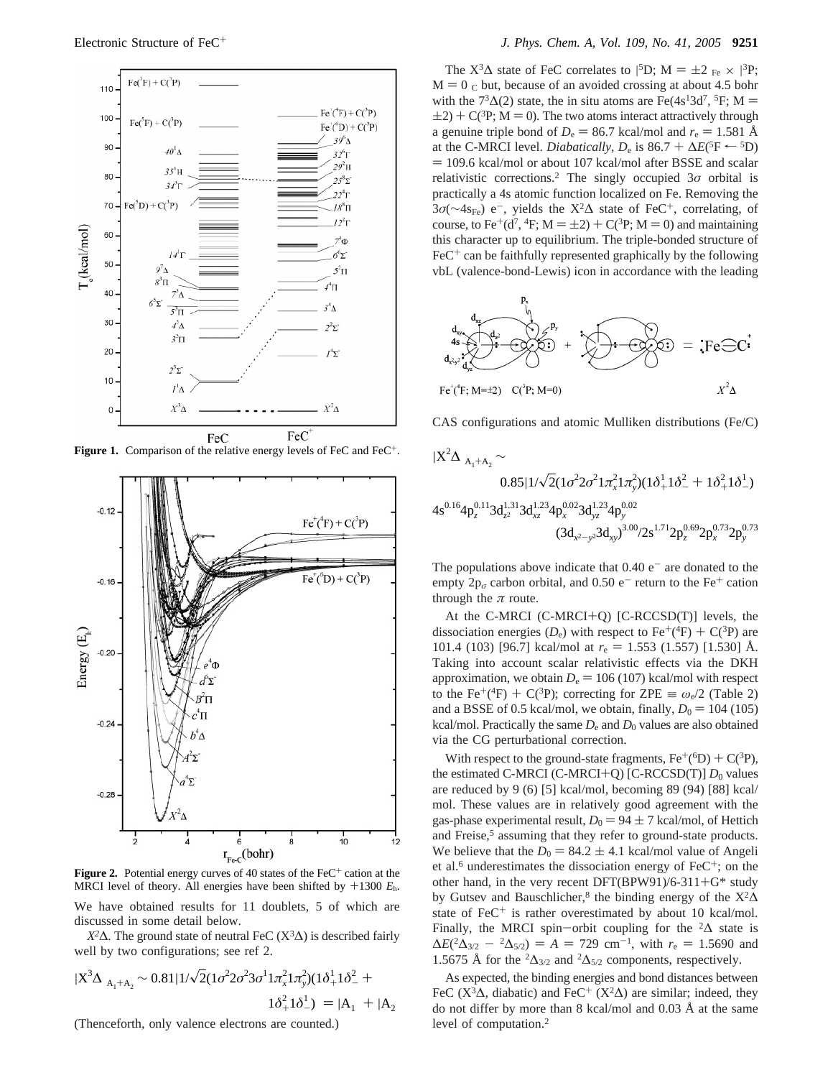

**Figure 1.** Comparison of the relative energy levels of FeC and FeC<sup>+</sup>.



We have obtained results for 11 doublets, 5 of which are discussed in some detail below. **Figure 2.** Potential energy curves of 40 states of the  $FeC<sup>+</sup>$  cation at the MRCI level of theory. All energies have been shifted by <sup>+</sup><sup>1300</sup> *<sup>E</sup>*h.

 $X^2\Delta$ . The ground state of neutral FeC ( $X^3\Delta$ ) is described fairly well by two configurations; see ref 2.

$$
|X^3 \Delta \rangle_{A_1 + A_2} \sim 0.81 |1/\sqrt{2}(1\sigma^2 2\sigma^2 3\sigma^1 1\pi_x^2 1\pi_y^2)(1\delta_+^1 1\delta_-^2 + 1\delta_+^2 1\delta_-^1) \rangle = |A_1\rangle + |A_2\rangle
$$

(Thenceforth, only valence electrons are counted.)

The X<sup>3</sup> $\Delta$  state of FeC correlates to |<sup>5</sup>D; M =  $\pm 2$ <sub>/Fe</sub> × |<sup>3</sup>P;<br>= 0)<sub>c</sub> but because of an avoided crossing at about 4.5 bobr  $M = 0$ <sub>C</sub> but, because of an avoided crossing at about 4.5 bohr with the  $7^{3}\Delta(2)$  state, the in situ atoms are Fe(4s<sup>1</sup>3d<sup>7</sup>, <sup>5</sup>F; M =  $(2+2) + C({}^{3}P; M = 0)$ . The two atoms interact attractively through a genuine triple bond of  $D_e = 86.7$  kcal/mol and  $r_e = 1.581$  Å at the C-MRCI level. *Diabatically*,  $D_e$  is 86.7 +  $\Delta E$ <sup>(5</sup>F ← <sup>5</sup>D) ) 109.6 kcal/mol or about 107 kcal/mol after BSSE and scalar relativistic corrections.2 The singly occupied 3*σ* orbital is practically a 4s atomic function localized on Fe. Removing the 3*σ*(∼4s<sub>Fe</sub>) e<sup>-</sup>, yields the X<sup>2</sup>Δ state of FeC<sup>+</sup>, correlating, of course, to Fe<sup>+</sup>(d<sup>7</sup>, <sup>4</sup>F; M =  $\pm$ 2) + C(<sup>3</sup>P; M = 0) and maintaining this character up to equilibrium. The triple-bonded structure of  $FeC<sup>+</sup>$  can be faithfully represented graphically by the following vbL (valence-bond-Lewis) icon in accordance with the leading



CAS configurations and atomic Mulliken distributions (Fe/C)

$$
\begin{aligned}[t] |X^2\Delta\rangle_{A_1+A_2} &\sim\\ &~~0.85 |1/\sqrt{2}(1\sigma^22\sigma^21\pi_x^21\pi_y^2)(1\delta_+^11\delta_-^2+1\delta_+^21\delta_-^1) \rangle\\ &~~4s^{0.16}4p_z^{0.11}3d_{z^2}^{1.31}3d_{xz}^{1.23}4p_x^{0.02}3d_{yz}^{1.23}4p_y^{0.02}\\ &~~(3d_{x^2-y^2}3d_{xy})^{3.00}/2s^{1.71}2p_z^{0.69}2p_x^{0.73}2p_y^{0.73}\end{aligned}
$$

The populations above indicate that  $0.40 e^-$  are donated to the empty  $2p_{\sigma}$  carbon orbital, and 0.50 e<sup>-</sup> return to the Fe<sup>+</sup> cation through the  $\pi$  route.

At the C-MRCI (C-MRCI+Q) [C-RCCSD(T)] levels, the dissociation energies  $(D_e)$  with respect to Fe<sup>+</sup>(<sup>4</sup>F) + C(<sup>3</sup>P) are 101.4 (103) [96.7] kcal/mol at  $r_e = 1.553$  (1.557) [1.530] Å. Taking into account scalar relativistic effects via the DKH approximation, we obtain  $D_e = 106 (107)$  kcal/mol with respect to the Fe<sup>+</sup>(<sup>4</sup>F) + C(<sup>3</sup>P); correcting for ZPE  $\equiv \omega_e/2$  (Table 2) and a BSSE of 0.5 kcal/mol, we obtain, finally,  $D_0 = 104 (105)$ kcal/mol. Practically the same  $D_e$  and  $D_0$  values are also obtained via the CG perturbational correction.

With respect to the ground-state fragments,  $Fe^+(^6D) + C(^3P)$ , the estimated C-MRCI (C-MRCI+Q) [C-RCCSD(T)]  $D_0$  values are reduced by 9 (6) [5] kcal/mol, becoming 89 (94) [88] kcal/ mol. These values are in relatively good agreement with the gas-phase experimental result,  $D_0 = 94 \pm 7$  kcal/mol, of Hettich and Freise,<sup>5</sup> assuming that they refer to ground-state products. We believe that the  $D_0 = 84.2 \pm 4.1$  kcal/mol value of Angeli et al.<sup>6</sup> underestimates the dissociation energy of  $FeC^+$ ; on the other hand, in the very recent DFT(BPW91)/6-311+ $G^*$  study by Gutsev and Bauschlicher,<sup>8</sup> the binding energy of the  $X^2\Delta$ state of  $FeC^+$  is rather overestimated by about 10 kcal/mol. Finally, the MRCI spin-orbit coupling for the  ${}^{2}\Delta$  state is  $\Delta E(^{2}\Delta_{3/2} - {}^{2}\Delta_{5/2}) = A = 729$  cm<sup>-1</sup>, with  $r_{e} = 1.5690$  and 1.5675 Å for the <sup>2</sup> $\Delta_{3/2}$  and <sup>2</sup> $\Delta_{5/2}$  components, respectively.

As expected, the binding energies and bond distances between FeC (X<sup>3</sup> $\Delta$ , diabatic) and FeC<sup>+</sup> (X<sup>2</sup> $\Delta$ ) are similar; indeed, they do not differ by more than 8 kcal/mol and 0.03 Å at the same level of computation.2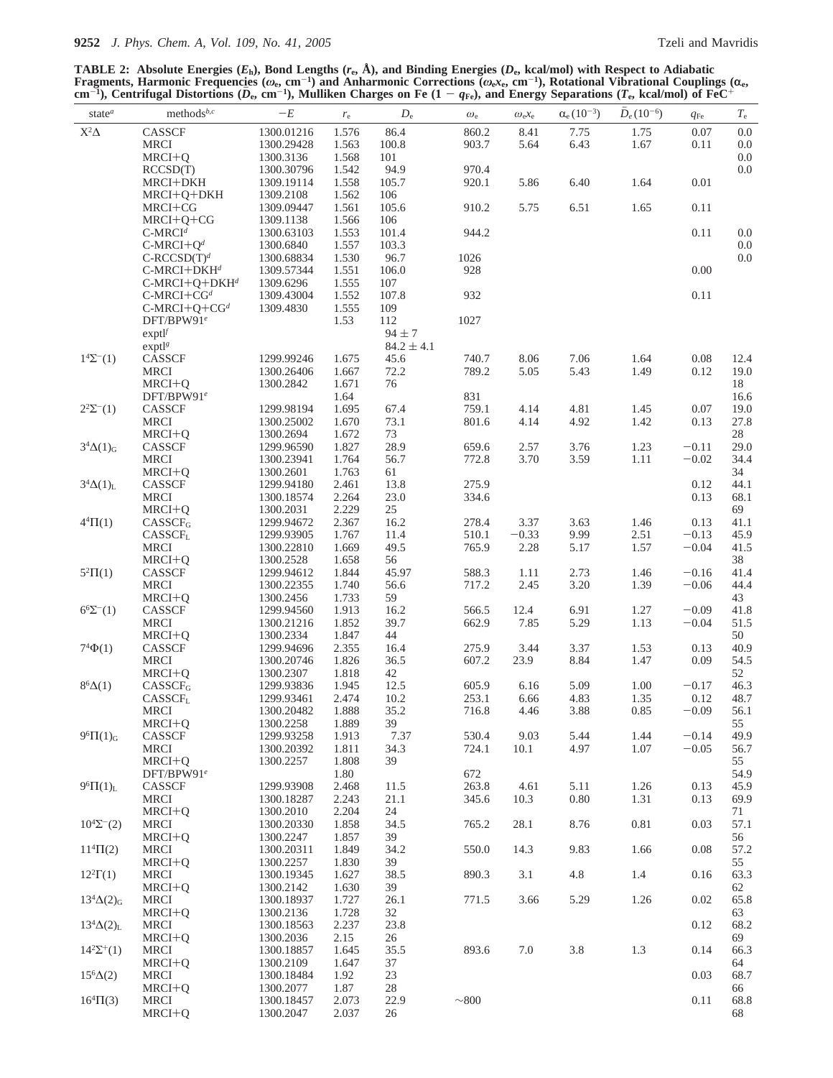**TABLE 2: Absolute Energies (***E***h), Bond Lengths (***r***e, Å), and Binding Energies (***D***e, kcal/mol) with Respect to Adiabatic Fragments, Harmonic Frequencies (***ω*<sub>**e, cm<sup>-1</sup>) and Anharmonic Corrections (***ω***<sub>ε</sub>, cm<sup>-1</sup>), Rotational Vibrational Couplings (α<sub>e</sub>, cm<sup>-1</sup>), Centrifugal Distortions (***D***<sub>a</sub>, cm<sup>-1</sup>), Mulliken Charges on Fe (1 –** *α***<sub>ε</sub></sub>**  $\frac{1}{2}$  **cm**<sup>-1</sup>), Centrifugal Distortions ( $D_e$ , cm<sup>-1</sup>), Mulliken Charges on Fe (1 -  $q_{Fe}$ ), and Energy Separations ( $T_e$ , kcal/mol) of FeC<sup>+</sup>

| state $a$              | methods $b,c$                 | $-E$                    | $r_{\rm e}$    | $D_{\rm e}$    | $\omega_{\rm e}$ | $\omega_{e}x_{e}$ | $\alpha_{e} (10^{-3})$ | $D_e(10^{-6})$ | $q_{\rm Fe}$    | $T_{\rm e}$  |
|------------------------|-------------------------------|-------------------------|----------------|----------------|------------------|-------------------|------------------------|----------------|-----------------|--------------|
| $X^2\Delta$            | CASSCF                        | 1300.01216              | 1.576          | 86.4           | 860.2            | 8.41              | 7.75                   | 1.75           | 0.07            | 0.0          |
|                        | <b>MRCI</b>                   | 1300.29428              | 1.563          | 100.8          | 903.7            | 5.64              | 6.43                   | 1.67           | 0.11            | 0.0          |
|                        | MRCI+O                        | 1300.3136               | 1.568          | 101            |                  |                   |                        |                |                 | 0.0          |
|                        | RCCSD(T)                      | 1300.30796              | 1.542          | 94.9           | 970.4            |                   |                        |                |                 | $0.0\,$      |
|                        | MRCI+DKH                      | 1309.19114              | 1.558          | 105.7          | 920.1            | 5.86              | 6.40                   | 1.64           | 0.01            |              |
|                        | MRCI+Q+DKH                    | 1309.2108               | 1.562          | 106            |                  |                   |                        |                |                 |              |
|                        | MRCI+CG                       | 1309.09447              | 1.561          | 105.6          | 910.2            | 5.75              | 6.51                   | 1.65           | 0.11            |              |
|                        | MRCI+Q+CG                     | 1309.1138               | 1.566          | 106            |                  |                   |                        |                |                 |              |
|                        | $C-MRCId$<br>$C-MRCI+Qd$      | 1300.63103<br>1300.6840 | 1.553<br>1.557 | 101.4<br>103.3 | 944.2            |                   |                        |                | 0.11            | 0.0<br>0.0   |
|                        | $C\text{-}RCCSD(T)d$          | 1300.68834              | 1.530          | 96.7           | 1026             |                   |                        |                |                 | 0.0          |
|                        | $C-MRCI+DKHd$                 | 1309.57344              | 1.551          | 106.0          | 928              |                   |                        |                | 0.00            |              |
|                        | C-MRCI+Q+DKH <sup>d</sup>     | 1309.6296               | 1.555          | 107            |                  |                   |                        |                |                 |              |
|                        | $C-MRCI+CGd$                  | 1309.43004              | 1.552          | 107.8          | 932              |                   |                        |                | 0.11            |              |
|                        | $C-MRCI+Q+CGd$                | 1309.4830               | 1.555          | 109            |                  |                   |                        |                |                 |              |
|                        | $DFT/BPW91^e$                 |                         | 1.53           | 112            | 1027             |                   |                        |                |                 |              |
|                        | exp t                         |                         |                | $94 \pm 7$     |                  |                   |                        |                |                 |              |
|                        | $expt^{\beta}$                |                         |                | $84.2 \pm 4.1$ |                  |                   |                        |                |                 |              |
| $1^4\Sigma^{-}(1)$     | CASSCF                        | 1299.99246              | 1.675          | 45.6           | 740.7            | 8.06              | 7.06                   | 1.64           | 0.08            | 12.4         |
|                        | <b>MRCI</b>                   | 1300.26406              | 1.667          | 72.2           | 789.2            | 5.05              | 5.43                   | 1.49           | 0.12            | 19.0         |
|                        | MRCI+Q<br>DFT/BPW91e          | 1300.2842               | 1.671          | 76             | 831              |                   |                        |                |                 | 18<br>16.6   |
| $2^2\Sigma^{-}(1)$     | CASSCF                        | 1299.98194              | 1.64<br>1.695  | 67.4           | 759.1            | 4.14              | 4.81                   | 1.45           | 0.07            | 19.0         |
|                        | <b>MRCI</b>                   | 1300.25002              | 1.670          | 73.1           | 801.6            | 4.14              | 4.92                   | 1.42           | 0.13            | 27.8         |
|                        | MRCI+Q                        | 1300.2694               | 1.672          | 73             |                  |                   |                        |                |                 | 28           |
| $3^4\Delta(1)_{\rm G}$ | CASSCF                        | 1299.96590              | 1.827          | 28.9           | 659.6            | 2.57              | 3.76                   | 1.23           | $-0.11$         | 29.0         |
|                        | <b>MRCI</b>                   | 1300.23941              | 1.764          | 56.7           | 772.8            | 3.70              | 3.59                   | 1.11           | $-0.02$         | 34.4         |
|                        | MRCI+Q                        | 1300.2601               | 1.763          | 61             |                  |                   |                        |                |                 | 34           |
| $3^4\Delta(1)_L$       | CASSCF                        | 1299.94180              | 2.461          | 13.8           | 275.9            |                   |                        |                | 0.12            | 44.1         |
|                        | <b>MRCI</b>                   | 1300.18574              | 2.264          | 23.0           | 334.6            |                   |                        |                | 0.13            | 68.1         |
|                        | MRCI+Q                        | 1300.2031               | 2.229          | 25             |                  |                   |                        |                |                 | 69           |
| $44\Pi(1)$             | CASSCF <sub>G</sub>           | 1299.94672              | 2.367          | 16.2           | 278.4            | 3.37              | 3.63                   | 1.46           | 0.13            | 41.1         |
|                        | <b>CASSCFL</b>                | 1299.93905              | 1.767          | 11.4           | 510.1            | $-0.33$           | 9.99                   | 2.51           | $-0.13$         | 45.9         |
|                        | <b>MRCI</b>                   | 1300.22810              | 1.669          | 49.5           | 765.9            | 2.28              | 5.17                   | 1.57           | $-0.04$         | 41.5         |
| $5^{2}\Pi(1)$          | MRCI+Q<br>CASSCF              | 1300.2528<br>1299.94612 | 1.658<br>1.844 | 56<br>45.97    | 588.3            | 1.11              | 2.73                   | 1.46           | $-0.16$         | 38<br>41.4   |
|                        | <b>MRCI</b>                   | 1300.22355              | 1.740          | 56.6           | 717.2            | 2.45              | 3.20                   | 1.39           | $-0.06$         | 44.4         |
|                        | MRCI+Q                        | 1300.2456               | 1.733          | 59             |                  |                   |                        |                |                 | 43           |
| $6^6\Sigma^-(1)$       | CASSCF                        | 1299.94560              | 1.913          | 16.2           | 566.5            | 12.4              | 6.91                   | 1.27           | $-0.09$         | 41.8         |
|                        | <b>MRCI</b>                   | 1300.21216              | 1.852          | 39.7           | 662.9            | 7.85              | 5.29                   | 1.13           | $-0.04$         | 51.5         |
|                        | MRCI+Q                        | 1300.2334               | 1.847          | 44             |                  |                   |                        |                |                 | 50           |
| $7^4\Phi(1)$           | <b>CASSCF</b>                 | 1299.94696              | 2.355          | 16.4           | 275.9            | 3.44              | 3.37                   | 1.53           | 0.13            | 40.9         |
|                        | <b>MRCI</b>                   | 1300.20746              | 1.826          | 36.5           | 607.2            | 23.9              | 8.84                   | 1.47           | 0.09            | 54.5         |
|                        | $MRCI+Q$                      | 1300.2307               | 1.818          | 42             |                  |                   |                        |                |                 | 52           |
| $8^6\Delta(1)$         | CASSCF <sub>G</sub>           | 1299.93836              | 1.945          | 12.5           | 605.9            | 6.16              | 5.09                   | 1.00           | $-0.17$         | 46.3         |
|                        | <b>CASSCFL</b><br><b>MRCI</b> | 1299.93461              | 2.474<br>1.888 | 10.2<br>35.2   | 253.1<br>716.8   | 6.66<br>4.46      | 4.83<br>3.88           | 1.35<br>0.85   | 0.12<br>$-0.09$ | 48.7<br>56.1 |
|                        | MRCI+Q                        | 1300.20482<br>1300.2258 | 1.889          | 39             |                  |                   |                        |                |                 | 55           |
| $9^{6} \Pi(1)_{G}$     | CASSCF                        | 1299.93258              | 1.913          | 7.37           | 530.4            | 9.03              | 5.44                   | 1.44           | $-0.14$         | 49.9         |
|                        | <b>MRCI</b>                   | 1300.20392              | 1.811          | 34.3           | 724.1            | 10.1              | 4.97                   | 1.07           | $-0.05$         | 56.7         |
|                        | MRCI+Q                        | 1300.2257               | 1.808          | 39             |                  |                   |                        |                |                 | 55           |
|                        | $DFT/BPW91^e$                 |                         | 1.80           |                | 672              |                   |                        |                |                 | 54.9         |
| $9^6\Pi(1)_L$          | <b>CASSCF</b>                 | 1299.93908              | 2.468          | 11.5           | 263.8            | 4.61              | 5.11                   | 1.26           | 0.13            | 45.9         |
|                        | <b>MRCI</b>                   | 1300.18287              | 2.243          | 21.1           | 345.6            | 10.3              | 0.80                   | 1.31           | 0.13            | 69.9         |
|                        | MRCI+Q                        | 1300.2010               | 2.204          | 24             |                  |                   |                        |                |                 | 71           |
| $10^4\Sigma^-(2)$      | <b>MRCI</b>                   | 1300.20330              | 1.858          | 34.5           | 765.2            | 28.1              | 8.76                   | 0.81           | 0.03            | 57.1         |
|                        | $MRCI+Q$                      | 1300.2247               | 1.857          | 39             |                  |                   |                        |                |                 | 56           |
| $11^{4} \Pi(2)$        | <b>MRCI</b>                   | 1300.20311              | 1.849          | 34.2           | 550.0            | 14.3              | 9.83                   | 1.66           | 0.08            | 57.2         |
|                        | MRCI+Q                        | 1300.2257               | 1.830          | 39             |                  |                   |                        |                |                 | 55           |
| $12^2\Gamma(1)$        | <b>MRCI</b><br>MRCI+Q         | 1300.19345<br>1300.2142 | 1.627          | 38.5           | 890.3            | 3.1               | 4.8                    | 1.4            | 0.16            | 63.3         |
| $13^{4} \Delta(2)_{G}$ | <b>MRCI</b>                   | 1300.18937              | 1.630<br>1.727 | 39<br>26.1     | 771.5            | 3.66              | 5.29                   | 1.26           | 0.02            | 62<br>65.8   |
|                        | MRCI+Q                        | 1300.2136               | 1.728          | 32             |                  |                   |                        |                |                 | 63           |
| $13^4\Delta(2)$ L      | MRCI                          | 1300.18563              | 2.237          | 23.8           |                  |                   |                        |                | 0.12            | 68.2         |
|                        | MRCI+Q                        | 1300.2036               | 2.15           | 26             |                  |                   |                        |                |                 | 69           |
| $14^2\Sigma^+(1)$      | MRCI                          | 1300.18857              | 1.645          | 35.5           | 893.6            | 7.0               | $3.8\,$                | 1.3            | 0.14            | 66.3         |
|                        | $MRCI+Q$                      | 1300.2109               | 1.647          | 37             |                  |                   |                        |                |                 | 64           |
| $15^6\Delta(2)$        | <b>MRCI</b>                   | 1300.18484              | 1.92           | 23             |                  |                   |                        |                | 0.03            | 68.7         |
|                        | MRCI+Q                        | 1300.2077               | 1.87           | 28             |                  |                   |                        |                |                 | 66           |
| $16^{4} \Pi(3)$        | <b>MRCI</b>                   | 1300.18457              | 2.073          | 22.9           | $\sim 800$       |                   |                        |                | 0.11            | 68.8         |
|                        | MRCI+Q                        | 1300.2047               | 2.037          | 26             |                  |                   |                        |                |                 | 68           |
|                        |                               |                         |                |                |                  |                   |                        |                |                 |              |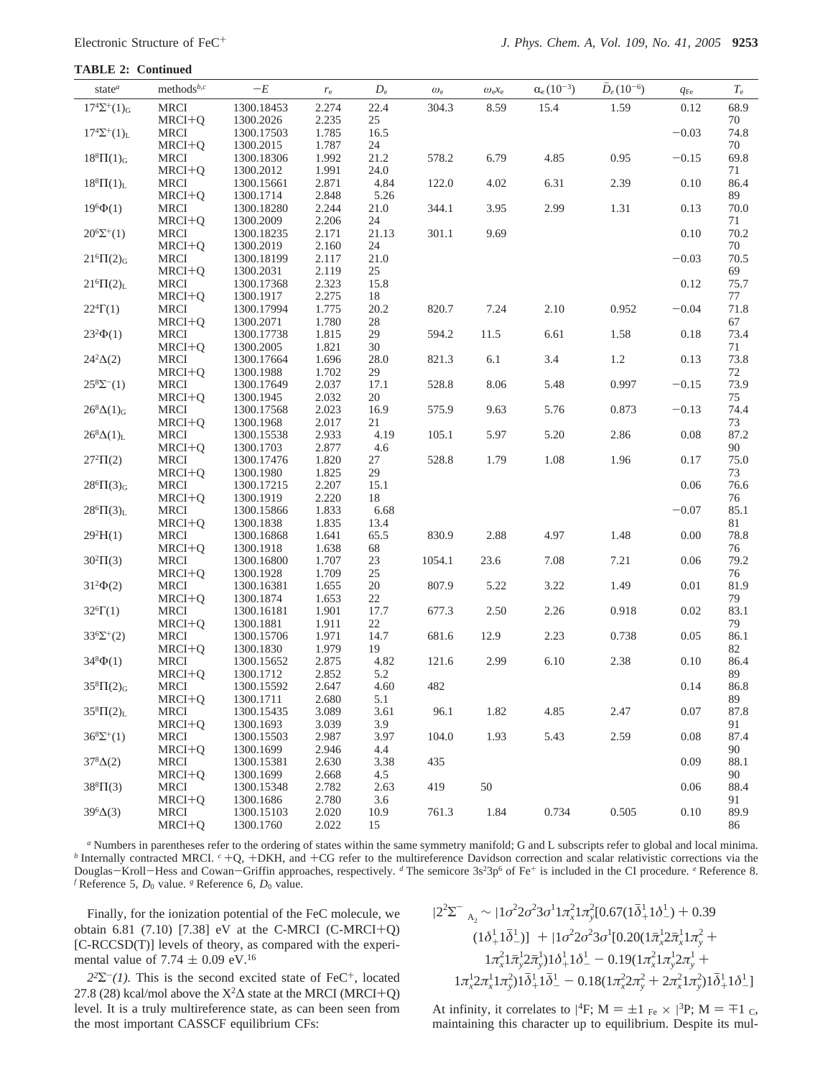**TABLE 2: Continued**

| state $a$                 | methods <sup>b,c</sup>  | $-E$                    | $r_{\rm e}$    | $D_{\rm e}$  | $\omega_{\rm e}$ | $\omega_{e}x_{e}$ | $\alpha_{e}(10^{-3})$ | $\bar{D}_e(10^{-6})$ | $q_{\rm Fe}$ | $T_{\rm e}$ |
|---------------------------|-------------------------|-------------------------|----------------|--------------|------------------|-------------------|-----------------------|----------------------|--------------|-------------|
| $17^4\Sigma^+(1)_{\rm G}$ | <b>MRCI</b>             | 1300.18453              | 2.274          | 22.4         | 304.3            | 8.59              | 15.4                  | 1.59                 | 0.12         | 68.9        |
|                           | $MRCI+Q$                | 1300.2026               | 2.235          | 25           |                  |                   |                       |                      |              | 70          |
| $17^4\Sigma^+(1)_L$       | <b>MRCI</b>             | 1300.17503              | 1.785          | 16.5         |                  |                   |                       |                      | $-0.03$      | 74.8        |
| $18^{8}\Pi(1)_{G}$        | MRCI+Q<br><b>MRCI</b>   | 1300.2015<br>1300.18306 | 1.787<br>1.992 | 24<br>21.2   | 578.2            | 6.79              | 4.85                  | 0.95                 | $-0.15$      | 70<br>69.8  |
|                           | MRCI+Q                  | 1300.2012               | 1.991          | 24.0         |                  |                   |                       |                      |              | 71          |
| $18^{8} \Pi(1)_{L}$       | <b>MRCI</b>             | 1300.15661              | 2.871          | 4.84         | 122.0            | 4.02              | 6.31                  | 2.39                 | 0.10         | 86.4        |
|                           | MRCI+Q                  | 1300.1714               | 2.848          | 5.26         |                  |                   |                       |                      |              | 89          |
| $19^{6}\Phi(1)$           | <b>MRCI</b>             | 1300.18280              | 2.244          | 21.0         | 344.1            | 3.95              | 2.99                  | 1.31                 | 0.13         | 70.0        |
|                           | $MRCI+Q$                | 1300.2009               | 2.206          | 24           |                  |                   |                       |                      |              | 71          |
| $20^6\Sigma^+(1)$         | <b>MRCI</b>             | 1300.18235              | 2.171          | 21.13        | 301.1            | 9.69              |                       |                      | 0.10         | 70.2        |
|                           | MRCI+Q                  | 1300.2019               | 2.160          | 24           |                  |                   |                       |                      |              | 70          |
| $21^6\Pi(2)$ G            | <b>MRCI</b>             | 1300.18199              | 2.117          | 21.0         |                  |                   |                       |                      | $-0.03$      | 70.5        |
|                           | $MRCI+Q$                | 1300.2031               | 2.119          | 25           |                  |                   |                       |                      |              | 69          |
| $21^{6} \Pi(2)_{L}$       | <b>MRCI</b>             | 1300.17368              | 2.323          | 15.8         |                  |                   |                       |                      | 0.12         | 75.7        |
|                           | MRCI+Q                  | 1300.1917               | 2.275          | 18           |                  |                   |                       |                      |              | 77          |
| $22^{4}\Gamma(1)$         | <b>MRCI</b>             | 1300.17994              | 1.775          | 20.2         | 820.7            | 7.24              | 2.10                  | 0.952                | $-0.04$      | 71.8        |
| $23^{2}\Phi(1)$           | $MRCI+Q$                | 1300.2071               | 1.780          | 28           |                  |                   |                       |                      |              | 67          |
|                           | <b>MRCI</b><br>$MRCI+Q$ | 1300.17738<br>1300.2005 | 1.815<br>1.821 | 29<br>30     | 594.2            | 11.5              | 6.61                  | 1.58                 | 0.18         | 73.4<br>71  |
| $24^2\Delta(2)$           | <b>MRCI</b>             | 1300.17664              | 1.696          | 28.0         | 821.3            | 6.1               | 3.4                   | 1.2                  | 0.13         | 73.8        |
|                           | $MRCI+Q$                | 1300.1988               | 1.702          | 29           |                  |                   |                       |                      |              | 72          |
| $25^8\Sigma^{-}(1)$       | <b>MRCI</b>             | 1300.17649              | 2.037          | 17.1         | 528.8            | 8.06              | 5.48                  | 0.997                | $-0.15$      | 73.9        |
|                           | MRCI+Q                  | 1300.1945               | 2.032          | 20           |                  |                   |                       |                      |              | 75          |
| $26^8\Delta(1)_{\rm G}$   | <b>MRCI</b>             | 1300.17568              | 2.023          | 16.9         | 575.9            | 9.63              | 5.76                  | 0.873                | $-0.13$      | 74.4        |
|                           | $MRCI+Q$                | 1300.1968               | 2.017          | 21           |                  |                   |                       |                      |              | 73          |
| $26^8\Delta(1)$ L         | <b>MRCI</b>             | 1300.15538              | 2.933          | 4.19         | 105.1            | 5.97              | 5.20                  | 2.86                 | 0.08         | 87.2        |
|                           | MRCI+Q                  | 1300.1703               | 2.877          | 4.6          |                  |                   |                       |                      |              | 90          |
| $27^{2} \Pi(2)$           | <b>MRCI</b>             | 1300.17476              | 1.820          | 27           | 528.8            | 1.79              | 1.08                  | 1.96                 | 0.17         | 75.0        |
|                           | MRCI+Q                  | 1300.1980               | 1.825          | 29           |                  |                   |                       |                      |              | 73          |
| $28^{6} \Pi(3)_{G}$       | <b>MRCI</b>             | 1300.17215              | 2.207          | 15.1         |                  |                   |                       |                      | 0.06         | 76.6        |
|                           | $MRCI+Q$                | 1300.1919               | 2.220          | 18           |                  |                   |                       |                      |              | 76          |
| $28^{6} \Pi(3)_{L}$       | <b>MRCI</b><br>$MRCI+Q$ | 1300.15866              | 1.833<br>1.835 | 6.68<br>13.4 |                  |                   |                       |                      | $-0.07$      | 85.1<br>81  |
| $29^{2}H(1)$              | <b>MRCI</b>             | 1300.1838<br>1300.16868 | 1.641          | 65.5         | 830.9            | 2.88              | 4.97                  | 1.48                 | 0.00         | 78.8        |
|                           | $MRCI+Q$                | 1300.1918               | 1.638          | 68           |                  |                   |                       |                      |              | 76          |
| $30^{2} \Pi(3)$           | <b>MRCI</b>             | 1300.16800              | 1.707          | 23           | 1054.1           | 23.6              | 7.08                  | 7.21                 | 0.06         | 79.2        |
|                           | $MRCI+Q$                | 1300.1928               | 1.709          | 25           |                  |                   |                       |                      |              | 76          |
| $31^2\Phi(2)$             | <b>MRCI</b>             | 1300.16381              | 1.655          | $20\,$       | 807.9            | 5.22              | 3.22                  | 1.49                 | 0.01         | 81.9        |
|                           | MRCI+Q                  | 1300.1874               | 1.653          | 22           |                  |                   |                       |                      |              | 79          |
| $32^6\Gamma(1)$           | <b>MRCI</b>             | 1300.16181              | 1.901          | 17.7         | 677.3            | 2.50              | 2.26                  | 0.918                | 0.02         | 83.1        |
|                           | MRCI+Q                  | 1300.1881               | 1.911          | 22           |                  |                   |                       |                      |              | 79          |
| $33^{6}\Sigma^{+}(2)$     | <b>MRCI</b>             | 1300.15706              | 1.971          | 14.7         | 681.6            | 12.9              | 2.23                  | 0.738                | 0.05         | 86.1        |
|                           | $MRCI+Q$                | 1300.1830               | 1.979          | 19           |                  |                   |                       |                      |              | 82          |
| $34^{8}\Phi(1)$           | <b>MRCI</b>             | 1300.15652              | 2.875          | 4.82         | 121.6            | 2.99              | 6.10                  | 2.38                 | 0.10         | 86.4        |
|                           | MRCI+Q                  | 1300.1712               | 2.852          | 5.2          |                  |                   |                       |                      |              | 89          |
| $35^{8} \Pi(2)_{G}$       | <b>MRCI</b>             | 1300.15592              | 2.647          | 4.60         | 482              |                   |                       |                      | 0.14         | 86.8        |
|                           | MRCI+Q<br><b>MRCI</b>   | 1300.1711<br>1300.15435 | 2.680<br>3.089 | 5.1<br>3.61  | 96.1             |                   | 4.85                  | 2.47                 | 0.07         | 89<br>87.8  |
| $35^{8} \Pi(2)_{L}$       | $MRCI+Q$                | 1300.1693               | 3.039          | 3.9          |                  | 1.82              |                       |                      |              | 91          |
| $36^8\Sigma^+(1)$         | <b>MRCI</b>             | 1300.15503              | 2.987          | 3.97         | 104.0            | 1.93              | 5.43                  | 2.59                 | 0.08         | 87.4        |
|                           | $MRCI+Q$                | 1300.1699               | 2.946          | 4.4          |                  |                   |                       |                      |              | 90          |
| $378\Delta(2)$            | <b>MRCI</b>             | 1300.15381              | 2.630          | 3.38         | 435              |                   |                       |                      | 0.09         | 88.1        |
|                           | MRCI+Q                  | 1300.1699               | 2.668          | 4.5          |                  |                   |                       |                      |              | 90          |
| $38^{8} \Pi(3)$           | <b>MRCI</b>             | 1300.15348              | 2.782          | 2.63         | 419              | 50                |                       |                      | 0.06         | 88.4        |
|                           | MRCI+O                  | 1300.1686               | 2.780          | 3.6          |                  |                   |                       |                      |              | 91          |
| $396\Delta(3)$            | <b>MRCI</b>             | 1300.15103              | 2.020          | 10.9         | 761.3            | 1.84              | 0.734                 | 0.505                | 0.10         | 89.9        |
|                           | MRCI+Q                  | 1300.1760               | 2.022          | 15           |                  |                   |                       |                      |              | 86          |
|                           |                         |                         |                |              |                  |                   |                       |                      |              |             |

*<sup>a</sup>* Numbers in parentheses refer to the ordering of states within the same symmetry manifold; G and L subscripts refer to global and local minima. *b* Internally contracted MRCI.  $c + Q$ , +DKH, and +CG refer to the multireference Davidson correction and scalar relativistic corrections via the Douglas-Kroll-Hess and Cowan-Griffin approaches, respectively. <sup>*d*</sup> The semicore 3s<sup>2</sup>3p<sup>6</sup> of Fe<sup>+</sup> is included in the CI procedure. *<sup>e</sup>* Reference 8.  $f$  Reference 5,  $D_0$  value.  $g$  Reference 6,  $D_0$  value.

Finally, for the ionization potential of the FeC molecule, we obtain 6.81 (7.10) [7.38] eV at the C-MRCI (C-MRCI+Q) [C-RCCSD(T)] levels of theory, as compared with the experimental value of 7.74  $\pm$  0.09 eV.<sup>16</sup>

 $2^{2}\Sigma^{-}(1)$ . This is the second excited state of FeC<sup>+</sup>, located 27.8 (28) kcal/mol above the  $X^2\Delta$  state at the MRCI (MRCI+Q) level. It is a truly multireference state, as can been seen from the most important CASSCF equilibrium CFs:

$$
|2^{2}\Sigma^{-}\rangle_{A_{2}} \sim |1\sigma^{2}2\sigma^{2}3\sigma^{1}1\pi_{x}^{2}1\pi_{y}^{2}[0.67(1\bar{\delta}_{+}^{1}1\delta_{-}^{1}) + 0.39
$$
  
\n
$$
(1\delta_{+}^{1}1\bar{\delta}_{-}^{1})]\rangle + |1\sigma^{2}2\sigma^{2}3\sigma^{1}[0.20(1\bar{\pi}_{x}^{1}2\bar{\pi}_{x}^{1}1\pi_{y}^{2} + 1\pi_{x}^{2}1\bar{\pi}_{y}^{1}2\bar{\pi}_{y}^{1})1\delta_{+}^{1}1\delta_{-}^{1} - 0.19(1\pi_{x}^{2}1\pi_{y}^{1}2\pi_{y}^{1} + 1\pi_{x}^{1}2\pi_{x}^{1}1\pi_{y}^{2})1\bar{\delta}_{+}^{1}1\bar{\delta}_{-}^{1} - 0.18(1\pi_{x}^{2}2\pi_{y}^{2} + 2\pi_{x}^{2}1\pi_{y}^{2})1\bar{\delta}_{+}^{1}1\delta_{-}^{1})\rangle
$$

At infinity, it correlates to  $|^4$ F;  $M = \pm 1\rangle_{Fe} \times |^3P$ ;  $M = \mp 1\rangle_{C}$ , maintaining this character up to equilibrium. Despite its mulmaintaining this character up to equilibrium. Despite its mul-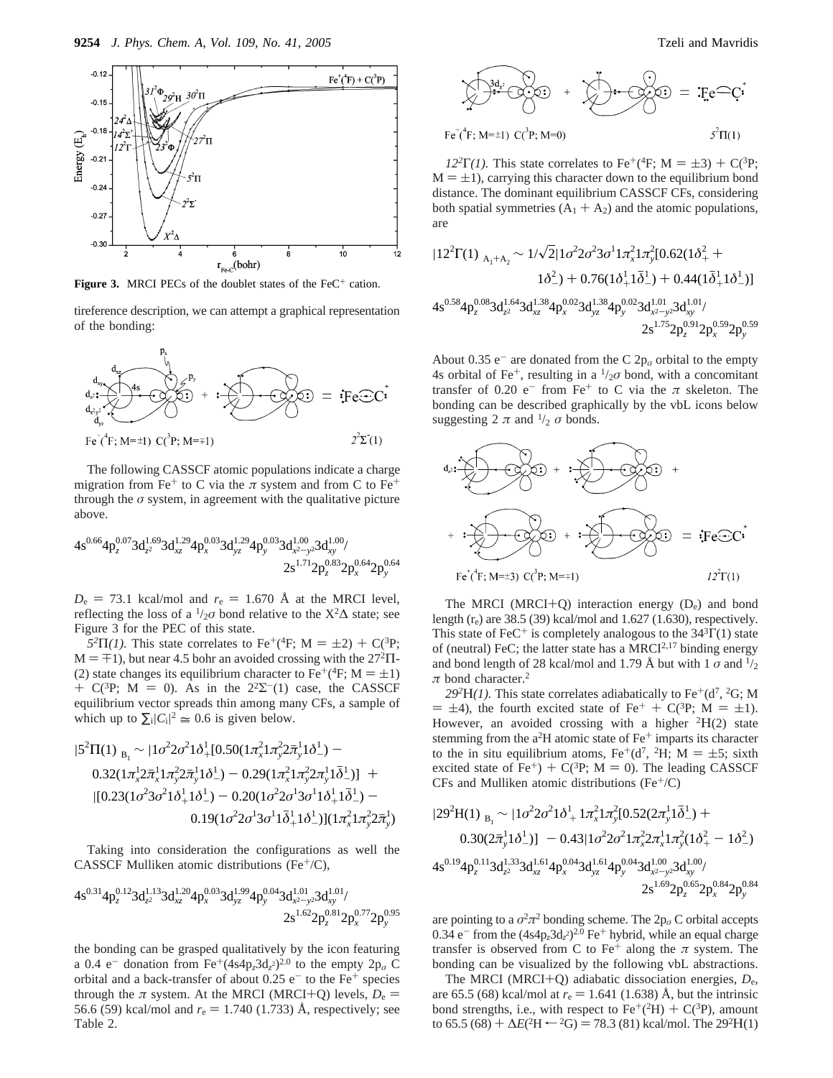

**Figure 3.** MRCI PECs of the doublet states of the FeC<sup>+</sup> cation.

tireference description, we can attempt a graphical representation of the bonding:



The following CASSCF atomic populations indicate a charge migration from Fe<sup>+</sup> to C via the  $\pi$  system and from C to Fe<sup>+</sup> through the  $\sigma$  system, in agreement with the qualitative picture above.

$$
4s^{0.66}4p_z^{0.07}3d_{z^2}^{1.69}3d_{xz}^{1.29}4p_x^{0.03}3d_{yz}^{1.29}4p_y^{0.03}3d_{x^2-y^2}^{1.00}3d_{xy}^{1.00}/\\2s^{1.71}2p_z^{0.83}2p_x^{0.64}2p_y^{0.64}
$$

 $D_e = 73.1$  kcal/mol and  $r_e = 1.670$  Å at the MRCI level, reflecting the loss of a  $\frac{1}{2}\sigma$  bond relative to the X<sup>2</sup> $\Delta$  state; see Figure 3 for the PEC of this state.

 $5^{2}\Pi(1)$ . This state correlates to Fe<sup>+</sup>(<sup>4</sup>F; M = ±2) + C(<sup>3</sup>P;  $M = \pm 1$ ), but near 4.5 bohr an avoided crossing with the  $27<sup>2</sup>\Pi$ -(2) state changes its equilibrium character to Fe<sup>+</sup>(<sup>4</sup>F; M =  $\pm$ 1) + C(<sup>3</sup>P; M = 0). As in the  $2^{2}\Sigma^{-}(1)$  case, the CASSCF equilibrium vector spreads thin among many CFs, a sample of which up to  $\Sigma_i |C_i|^2 \cong 0.6$  is given below.

$$
|5^{2}\Pi(1)\rangle_{B_{1}} \sim |1\sigma^{2}2\sigma^{2}1\delta_{+}^{1}[0.50(1\pi_{x}^{2}1\pi_{y}^{2}2\bar{\pi}_{y}^{1}1\delta_{-}^{1}) -
$$
  
\n
$$
0.32(1\pi_{x}^{1}2\bar{\pi}_{x}^{1}1\pi_{y}^{2}2\bar{\pi}_{y}^{1}1\delta_{-}^{1}) - 0.29(1\pi_{x}^{2}1\pi_{y}^{2}2\pi_{y}^{1}1\bar{\delta}_{-}^{1})]\rangle +
$$
  
\n
$$
|[0.23(1\sigma^{2}3\sigma^{2}1\delta_{+}^{1}1\delta_{-}^{1}) - 0.20(1\sigma^{2}2\sigma^{1}3\sigma^{1}1\delta_{+}^{1}1\bar{\delta}_{-}^{1}) -
$$
  
\n
$$
0.19(1\sigma^{2}2\sigma^{1}3\sigma^{1}1\bar{\delta}_{+}^{1}1\delta_{-}^{1})](1\pi_{x}^{2}1\pi_{y}^{2}2\bar{\pi}_{y}^{1})\rangle
$$

Taking into consideration the configurations as well the CASSCF Mulliken atomic distributions (Fe $^+/C$ ),

$$
4s^{0.31}4p_z^{0.12}3d_{z^2}^{1.13}3d_{xz}^{1.20}4p_x^{0.03}3d_{yz}^{1.99}4p_y^{0.04}3d_{x^2-y^2}^{1.01}3d_{xy}^{1.01}/\\2s^{1.62}2p_z^{0.81}2p_x^{0.77}2p_y^{0.95}
$$

the bonding can be grasped qualitatively by the icon featuring a 0.4 e<sup>-</sup> donation from Fe<sup>+</sup>(4s4p<sub>z</sub>3d<sub>z</sub><sup>2</sup>)<sup>2.0</sup> to the empty 2p<sub>σ</sub> C orbital and a back-transfer of about  $0.25$  e<sup>-</sup> to the Fe<sup>+</sup> species through the  $\pi$  system. At the MRCI (MRCI+Q) levels,  $D_e$  = 56.6 (59) kcal/mol and  $r_e = 1.740$  (1.733) Å, respectively; see Table 2.

$$
\sum_{\mathbf{F} \in {}^{+}(F; M^{= \pm 1})} \overbrace{C_{1}^{3d_{2}}C_{2}^{3d_{1}}}^{3d_{2}} + \sum_{\mathbf{F} \in {}^{+}(F; M^{= \pm 1})} \overbrace{C_{2}^{3d_{1}}C_{2}^{3d_{2}}C_{3}^{3d_{2}}}}^{4} = \mathbf{F} \in {}^{+}(F; M^{= \pm 1})
$$

 $12^{2}\Gamma(1)$ . This state correlates to Fe<sup>+</sup>(<sup>4</sup>F; M =  $\pm$ 3) + C(<sup>3</sup>P;  $M = \pm 1$ , carrying this character down to the equilibrium bond distance. The dominant equilibrium CASSCF CFs, considering both spatial symmetries  $(A_1 + A_2)$  and the atomic populations, are

$$
\begin{aligned} |12^2\Gamma(1)\rangle_{A_1+A_2} &\sim 1/\sqrt{2}|1\sigma^22\sigma^23\sigma^11\pi_x^21\pi_y^2[0.62(1\delta_+^2 +\\ &1\delta_-^2) + 0.76(1\delta_+^11\bar{\delta}_-^1) + 0.44(1\bar{\delta}_+^11\delta_-^1)]\rangle \\ 4s^{0.58}4p_z^{0.08}3d_{z^2}^{1.64}3d_{xz}^{1.38}4p_x^{0.02}3d_{yz}^{1.38}4p_y^{0.02}3d_{x^2-y^2}^{1.01}3d_{xy}^{1.01}/\\ &2s^{1.75}2p_z^{0.91}2p_x^{0.59}2p_y^{0.59}\end{aligned}
$$

About 0.35  $e^-$  are donated from the C  $2p_\sigma$  orbital to the empty 4s orbital of Fe<sup>+</sup>, resulting in a  $\frac{1}{2}\sigma$  bond, with a concomitant transfer of 0.20 e<sup>-</sup> from Fe<sup>+</sup> to C via the  $\pi$  skeleton. The bonding can be described graphically by the vbL icons below suggesting 2  $\pi$  and  $\frac{1}{2}$   $\sigma$  bonds.



The MRCI (MRCI+Q) interaction energy  $(D_e)$  and bond length  $(r_e)$  are 38.5 (39) kcal/mol and 1.627 (1.630), respectively. This state of FeC<sup>+</sup> is completely analogous to the  $34<sup>3</sup>\Gamma(1)$  state of (neutral) FeC; the latter state has a  $MRCI<sup>2,17</sup>$  binding energy and bond length of 28 kcal/mol and 1.79 Å but with 1  $\sigma$  and  $\frac{1}{2}$  $\pi$  bond character.<sup>2</sup>

 $29<sup>2</sup>H(1)$ . This state correlates adiabatically to Fe<sup>+</sup>(d<sup>7</sup>, <sup>2</sup>G; M  $= \pm 4$ ), the fourth excited state of Fe<sup>+</sup> + C(<sup>3</sup>P; M =  $\pm 1$ ). However, an avoided crossing with a higher  ${}^{2}H(2)$  state stemming from the  $a^2H$  atomic state of  $Fe^+$  imparts its character to the in situ equilibrium atoms, Fe<sup>+</sup>(d<sup>7</sup>, <sup>2</sup>H; M =  $\pm$ 5; sixth excited state of Fe<sup>+</sup>) + C(<sup>3</sup>P; M = 0). The leading CASSCF CFs and Mulliken atomic distributions  $(Fe<sup>+/C</sup>)$ 

$$
\begin{aligned}[t] 29^2 H(1) \rangle_{B_1} &\sim |1\sigma^2 2\sigma^2 1\delta_+^1 1\pi_x^2 1\pi_y^2 [0.52(2\pi_y^1 1\bar{\delta}_-^1) +\\ &\quad 0.30(2\bar{\pi}_y^1 1\delta_-^1)] \rangle - 0.43 |1\sigma^2 2\sigma^2 1\pi_x^2 2\pi_x^1 1\pi_y^2 (1\delta_+^2 - 1\delta_-^2) \rangle \\ 4s^{0.19} 4p_z^{0.11} 3d_{z^2}^{1.33} 3d_{xz}^{1.61} 4p_x^{0.04} 3d_{yz}^{1.61} 4p_y^{0.04} 3d_{x^2-y^2}^{1.00} 3d_{xy}^{1.00} /\\ &\quad 2s^{1.69} 2p_z^{0.65} 2p_x^{0.84} 2p_y^{0.84} \end{aligned}
$$

are pointing to a  $\sigma^2 \pi^2$  bonding scheme. The  $2p_\sigma C$  orbital accepts  $0.34$  e<sup>-</sup> from the  $(4s4p_z3d_z^2)^{2.0}$  Fe<sup>+</sup> hybrid, while an equal charge transfer is observed from C to Fe<sup>+</sup> along the  $\pi$  system. The bonding can be visualized by the following vbL abstractions.

The MRCI (MRCI+Q) adiabatic dissociation energies, *<sup>D</sup>*e, are 65.5 (68) kcal/mol at  $r_e = 1.641$  (1.638) Å, but the intrinsic bond strengths, i.e., with respect to  $Fe^+(^2H) + C(^3P)$ , amount to 65.5 (68) +  $\Delta E(^{2}H \leftarrow {}^{2}G) = 78.3$  (81) kcal/mol. The 29<sup>2</sup>H(1)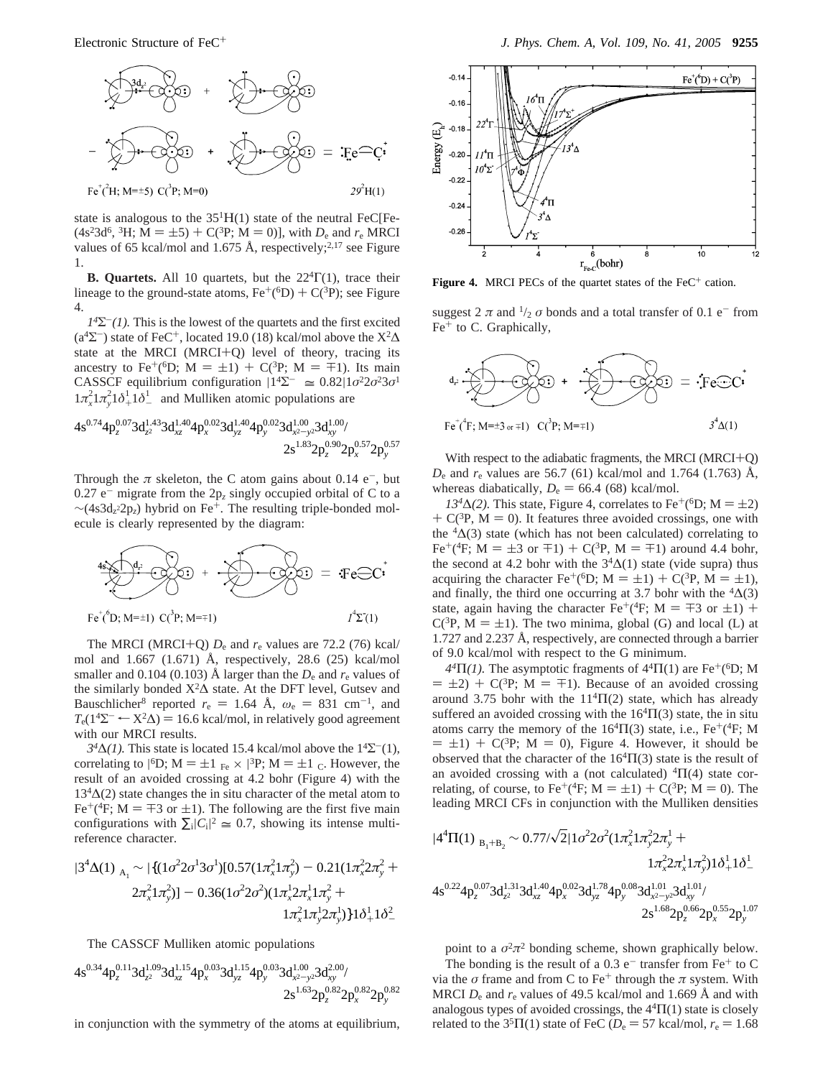

state is analogous to the  $35^1H(1)$  state of the neutral FeC[Fe- $(4s<sup>2</sup>3d<sup>6</sup>, <sup>3</sup>H; M = ±5) + C(^{3}P; M = 0)$ ], with *D*<sub>e</sub> and *r*<sub>e</sub> MRCI values of 65 kcal/mol and 1.675 Å, respectively;<sup>2,17</sup> see Figure 1.

**B. Quartets.** All 10 quartets, but the 22<sup>4</sup>Γ(1), trace their lineage to the ground-state atoms,  $Fe^{+}(^6D) + C(^3P)$ ; see Figure 4.

 $1<sup>4</sup>\Sigma^{-}(1)$ . This is the lowest of the quartets and the first excited  $(a<sup>4</sup>\Sigma^-)$  state of FeC<sup>+</sup>, located 19.0 (18) kcal/mol above the X<sup>2</sup> $\Delta$ state at the MRCI (MRCI+Q) level of theory, tracing its ancestry to Fe<sup>+</sup>(<sup>6</sup>D; M =  $\pm$ 1) + C(<sup>3</sup>P; M =  $\mp$ 1). Its main CASSCF equilibrium configuration  $|1^4\Sigma^{-}\rangle \approx 0.82|1\sigma^2 2\sigma^2 3\sigma^1$  $1\pi_x^2 1\pi_y^2 1\delta_{+}^1 1\delta_{-}^1$  and Mulliken atomic populations are

$$
4s^{0.74}4p_z^{0.07}3d_{z^2}^{1.43}3d_{xz}^{1.40}4p_x^{0.02}3d_{yz}^{1.40}4p_y^{0.02}3d_{x^2-y^2}^{1.00}3d_{xy}^{1.00}/\\2s^{1.83}2p_z^{0.90}2p_x^{0.57}2p_y^{0.57}
$$

Through the  $\pi$  skeleton, the C atom gains about 0.14 e<sup>-</sup>, but 0.27  $e^-$  migrate from the 2 $p_z$  singly occupied orbital of C to a  $\sim$ (4s3d<sub>z</sub><sup>2</sup>2p<sub>*z*</sub>)</sub> hybrid on Fe<sup>+</sup>. The resulting triple-bonded molecule is clearly represented by the diagram:



The MRCI (MRCI+Q) *<sup>D</sup>*<sup>e</sup> and *<sup>r</sup>*<sup>e</sup> values are 72.2 (76) kcal/ mol and 1.667 (1.671) Å, respectively, 28.6 (25) kcal/mol smaller and 0.104 (0.103) Å larger than the  $D_e$  and  $r_e$  values of the similarly bonded  $X^2\Delta$  state. At the DFT level, Gutsev and Bauschlicher<sup>8</sup> reported  $r_e = 1.64$  Å,  $\omega_e = 831$  cm<sup>-1</sup>, and  $T_e(1^4\Sigma^- \leftarrow X^2\Delta) = 16.6$  kcal/mol, in relatively good agreement with our MRCI results.

 $3<sup>4</sup>\Delta(1)$ . This state is located 15.4 kcal/mol above the  $1<sup>4</sup>\Sigma$ <sup>-</sup>(1), correlating to  $[{}^6D; M = \pm 1\rangle_{Fe} \times [{}^3P; M = \pm 1\rangle_C$ . However, the result of an avoided crossing at 4.2 bobr (Figure 4) with the result of an avoided crossing at 4.2 bohr (Figure 4) with the  $13<sup>4</sup>\Delta(2)$  state changes the in situ character of the metal atom to Fe<sup>+</sup>(<sup>4</sup>F; M =  $\mp$ 3 or  $\pm$ 1). The following are the first five main configurations with  $\sum_i |C_i|^2 \simeq 0.7$ , showing its intense multi-<br>reference character reference character.

$$
|3^4\Delta(1)\rangle_{A_1} \sim |\{(1\sigma^2 2\sigma^1 3\sigma^1)[0.57(1\pi_x^2 1\pi_y^2) - 0.21(1\pi_x^2 2\pi_y^2 + 2\pi_x^2 1\pi_y^2)] - 0.36(1\sigma^2 2\sigma^2)(1\pi_x^1 2\pi_x^1 1\pi_y^2 + 1\pi_x^2 1\pi_y^1 2\pi_y^1)\}1\delta_+^1 1\delta_-^2
$$

The CASSCF Mulliken atomic populations

$$
4s^{0.34}4p_z^{0.11}3d_{z^2}^{1.09}3d_{xz}^{1.15}4p_x^{0.03}3d_{yz}^{1.15}4p_y^{0.03}3d_{x^2-y^2}^{1.00}3d_{xy}^{2.00}/\\2s^{1.63}2p_z^{0.82}2p_x^{0.82}2p_y^{0.82}
$$

in conjunction with the symmetry of the atoms at equilibrium,



Figure 4. MRCI PECs of the quartet states of the FeC<sup>+</sup> cation.

suggest 2  $\pi$  and  $\frac{1}{2}$   $\sigma$  bonds and a total transfer of 0.1 e<sup>-</sup> from  $Fe<sup>+</sup>$  to C. Graphically,



With respect to the adiabatic fragments, the MRCI (MRCI+Q) *D*<sup>e</sup> and *r*<sup>e</sup> values are 56.7 (61) kcal/mol and 1.764 (1.763) Å, whereas diabatically,  $D_e = 66.4$  (68) kcal/mol.

 $13<sup>4</sup>\Delta(2)$ . This state, Figure 4, correlates to Fe<sup>+</sup>(<sup>6</sup>D; M =  $\pm 2$ )  $+ C^{3}P$ , M = 0). It features three avoided crossings, one with the  ${}^{4}\Delta(3)$  state (which has not been calculated) correlating to Fe<sup>+</sup>(<sup>4</sup>F; M =  $\pm$ 3 or  $\pm$ 1) + C(<sup>3</sup>P, M =  $\pm$ 1) around 4.4 bohr, the second at 4.2 bohr with the  $3<sup>4</sup>\Delta(1)$  state (vide supra) thus acquiring the character Fe<sup>+</sup>(<sup>6</sup>D; M =  $\pm$ 1) + C(<sup>3</sup>P, M =  $\pm$ 1), and finally, the third one occurring at 3.7 bohr with the  ${}^{4}\Delta(3)$ state, again having the character Fe<sup>+</sup>(<sup>4</sup>F; M =  $\mp$ 3 or  $\pm$ 1) +  $C(^{3}P, M = \pm 1)$ . The two minima, global (G) and local (L) at 1.727 and 2.237 Å, respectively, are connected through a barrier of 9.0 kcal/mol with respect to the G minimum.

 $4<sup>4</sup>\Pi(1)$ . The asymptotic fragments of  $4<sup>4</sup>\Pi(1)$  are Fe<sup>+</sup>(<sup>6</sup>D; M  $= \pm 2$ ) + C(<sup>3</sup>P; M =  $\mp$ 1). Because of an avoided crossing around 3.75 bohr with the  $11<sup>4</sup>\Pi(2)$  state, which has already suffered an avoided crossing with the  $16<sup>4</sup>\Pi(3)$  state, the in situ atoms carry the memory of the  $16<sup>4</sup>\Pi(3)$  state, i.e., Fe<sup>+</sup>(<sup>4</sup>F; M  $= \pm 1$ ) + C(<sup>3</sup>P; M = 0), Figure 4. However, it should be observed that the character of the  $16<sup>4</sup> \Pi(3)$  state is the result of an avoided crossing with a (not calculated)  ${}^{4}\Pi(4)$  state correlating, of course, to Fe<sup>+</sup>(<sup>4</sup>F; M =  $\pm$ 1) + C(<sup>3</sup>P; M = 0). The leading MRCI CFs in conjunction with the Mulliken densities

$$
\begin{aligned} |4^4\Pi(1)\rangle_{B_1+B_2} &\sim 0.77/\sqrt{2}|1\sigma^22\sigma^2(1\pi_x^21\pi_y^22\pi_y^1+\\ &\hspace{1.5cm}1\pi_x^22\pi_x^11\pi_y^2)1\delta_+^11\delta_-^1\rangle\\ &\hspace{1.5cm}4s^{0.22}4p_z^{0.07}3d_{z^2}^{1.31}3d_{xz}^{1.40}4p_x^{0.02}3d_{yz}^{1.78}4p_y^{0.08}3d_{x^2-y^2}^{1.01}3d_{xy}^{1.01}/\\ &\hspace{1.5cm}2s^{1.68}2p_z^{0.66}2p_x^{0.55}2p_y^{1.07}\end{aligned}
$$

point to a  $\sigma^2 \pi^2$  bonding scheme, shown graphically below. The bonding is the result of a  $0.3 e^-$  transfer from Fe<sup>+</sup> to C via the  $\sigma$  frame and from C to Fe<sup>+</sup> through the  $\pi$  system. With MRCI  $D_e$  and  $r_e$  values of 49.5 kcal/mol and 1.669 Å and with analogous types of avoided crossings, the  $4<sup>4</sup>\Pi(1)$  state is closely related to the  $3<sup>5</sup>\Pi(1)$  state of FeC ( $D_e = 57$  kcal/mol,  $r_e = 1.68$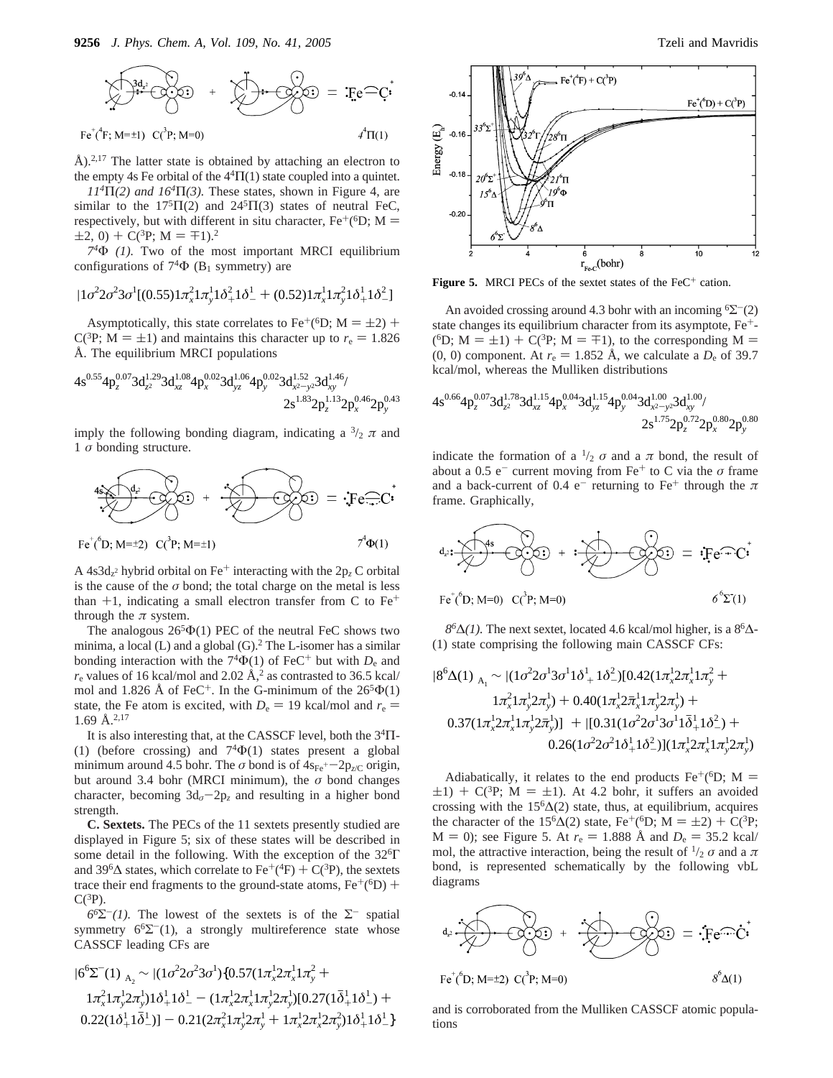$$
\sum_{\mathbf{F}\in {}^4(F;\;M=\pm 1)} \sum_{\mathbf{C}(\cdot^3\mathbf{F};\;M=0)} + \sum_{\mathbf{F}\in {}^4(F;\;M=\pm 1)} \sum_{\mathbf{C}(\cdot^3\mathbf{F};\;M=0)} + \sum_{\mathbf{F}\in {}^4(F;\;M=\pm 1)} \sum_{\mathbf{C}(\cdot^3\mathbf{F};\;M=\pm 1)} \sum_{\mathbf{F}(\cdot^3\mathbf{F};\;M=\pm 1)} \sum_{\mathbf{F}(\cdot^3\mathbf{F};\;M=\pm 1)} \sum_{\mathbf{F}(\cdot^3\mathbf{F};\;M=\pm 1)} \sum_{\mathbf{F}(\cdot^3\mathbf{F};\;M=\pm 1)} \sum_{\mathbf{F}(\cdot^3\mathbf{F};\;M=\pm 1)} \sum_{\mathbf{F}(\cdot^3\mathbf{F};\;M=\pm 1)} \sum_{\mathbf{F}(\cdot^3\mathbf{F};\;M=\pm 1)} \sum_{\mathbf{F}(\cdot^3\mathbf{F};\;M=\pm 1)} \sum_{\mathbf{F}(\cdot^3\mathbf{F};\;M=\pm 1)} \sum_{\mathbf{F}(\cdot^3\mathbf{F};\;M=\pm 1)} \sum_{\mathbf{F}(\cdot^3\mathbf{F};\;M=\pm 1)} \sum_{\mathbf{F}(\cdot^3\mathbf{F};\;M=\pm 1)} \sum_{\mathbf{F}(\cdot^3\mathbf{F};\;M=\pm 1)} \sum_{\mathbf{F}(\cdot^3\mathbf{F};\;M=\pm 1)} \sum_{\mathbf{F}(\cdot^3\mathbf{F};\;M=\pm 1)} \sum_{\mathbf{F}(\cdot^3\mathbf{F};\;M=\pm 1)} \sum_{\mathbf{F}(\cdot^3\mathbf{F};\;M=\pm 1)} \sum_{\mathbf{F}(\cdot^3\mathbf{F};\;M=\pm 1)} \sum_{\mathbf{F}(\cdot^3\mathbf{F};\;M=\pm 1)} \sum_{\mathbf{F}(\cdot^3\mathbf{F};\;M=\pm 1)} \sum_{\mathbf{F}(\cdot^3\mathbf{F};\;M=\pm 1)} \sum_{\mathbf{F}(\cdot^3\mathbf{F};\;M=\pm 1)} \sum_{\mathbf{F}(\cdot^3\mathbf{F};\;
$$

Å).<sup>2,17</sup> The latter state is obtained by attaching an electron to the empty 4s Fe orbital of the  $4<sup>4</sup>\Pi(1)$  state coupled into a quintet.

 $11<sup>4</sup>$ Π(2) and  $16<sup>4</sup>$ Π(3). These states, shown in Figure 4, are similar to the  $17<sup>5</sup>\Pi(2)$  and  $24<sup>5</sup>\Pi(3)$  states of neutral FeC, respectively, but with different in situ character,  $Fe^{+}(^6D)$ ; M =  $\pm 2$ , 0) + C(<sup>3</sup>P; M =  $\mp 1$ ).<sup>2</sup>

*74*Φ *(1).* Two of the most important MRCI equilibrium configurations of  $74\Phi$  (B<sub>1</sub> symmetry) are

$$
|1\sigma^2 2\sigma^2 3\sigma^1 [(0.55)1\pi_x^2 1\pi_y^1 1\delta_+^2 1\delta_-^1 + (0.52)1\pi_x^1 1\pi_y^2 1\delta_+^1 1\delta_-^2]
$$

Asymptotically, this state correlates to Fe<sup>+</sup>( ${}^6D$ ; M =  $\pm 2$ ) +  $C(^{3}P; M = \pm 1)$  and maintains this character up to  $r_e = 1.826$ Å. The equilibrium MRCI populations

$$
4s^{0.55}4p_z^{0.07}3d_{z^2}^{1.29}3d_{xz}^{1.08}4p_x^{0.02}3d_{yz}^{1.06}4p_y^{0.02}3d_{x^2-y^2}^{1.52}3d_{xy}^{1.46}/\_2s^{1.83}2p_z^{1.13}2p_x^{0.46}2p_y^{0.43}
$$

imply the following bonding diagram, indicating a  $\frac{3}{2} \pi$  and 1 *σ* bonding structure.

$$
+ \sum_{\mathbf{F} \in \mathcal{F}^*(\mathbf{D}; \, \mathbf{M} = \pm 2)}^{\mathbf{A} \times \mathbf{A} \times \mathbf{A} \times \mathbf{B}} + \sum_{\mathbf{F} \in \mathcal{F}^*(\mathbf{D}; \, \mathbf{M} = \pm 2)}^{\mathbf{A} \times \mathbf{A} \times \mathbf{B}} = \cdot \mathbf{F} \mathbf{e} \mathbf{e} \mathbf{e} \mathbf{e} \mathbf{e} \mathbf{e} \mathbf{e} \mathbf{e} \mathbf{e} \mathbf{e} \mathbf{e} \mathbf{e} \mathbf{e} \mathbf{e} \mathbf{e} \mathbf{e} \mathbf{e} \mathbf{e} \mathbf{e} \mathbf{e} \mathbf{e} \mathbf{e} \mathbf{e} \mathbf{e} \mathbf{e} \mathbf{e} \mathbf{e} \mathbf{e} \mathbf{e} \mathbf{e} \mathbf{e} \mathbf{e} \mathbf{e} \mathbf{e} \mathbf{e} \mathbf{e} \mathbf{e} \mathbf{e} \mathbf{e} \mathbf{e} \mathbf{e} \mathbf{e} \mathbf{e} \mathbf{e} \mathbf{e} \mathbf{e} \mathbf{e} \mathbf{e} \mathbf{e} \mathbf{e} \mathbf{e} \mathbf{e} \mathbf{e} \mathbf{e} \mathbf{e} \mathbf{e} \mathbf{e} \mathbf{e} \mathbf{e} \mathbf{e} \mathbf{e} \mathbf{e} \mathbf{e} \mathbf{e} \mathbf{e} \mathbf{e} \mathbf{e} \mathbf{e} \mathbf{e} \mathbf{e} \mathbf{e} \mathbf{e} \mathbf{e} \mathbf{e} \mathbf{e} \mathbf{e} \mathbf{e} \mathbf{e} \mathbf{e} \mathbf{e} \mathbf{e} \mathbf{e} \mathbf{e} \mathbf{e} \mathbf{e} \mathbf{e} \mathbf{e} \mathbf{e} \mathbf{e} \mathbf{e} \mathbf{e} \mathbf{e} \mathbf{e} \mathbf{e} \mathbf{e} \mathbf{e} \mathbf{e} \mathbf{e} \mathbf{e} \mathbf{e} \mathbf{e} \mathbf{e} \mathbf{
$$

A  $4s3d_z^2$  hybrid orbital on Fe<sup>+</sup> interacting with the  $2p_z C$  orbital is the cause of the  $\sigma$  bond; the total charge on the metal is less than  $+1$ , indicating a small electron transfer from C to Fe<sup>+</sup> through the  $\pi$  system.

The analogous  $26<sup>5</sup>\Phi(1)$  PEC of the neutral FeC shows two minima, a local  $(L)$  and a global  $(G)$ .<sup>2</sup> The L-isomer has a similar bonding interaction with the 74Φ(1) of FeC<sup>+</sup> but with *D*<sup>e</sup> and  $r_e$  values of 16 kcal/mol and 2.02  $\AA$ ,<sup>2</sup> as contrasted to 36.5 kcal/ mol and 1.826 Å of FeC<sup>+</sup>. In the G-minimum of the  $26<sup>5</sup>\Phi(1)$ state, the Fe atom is excited, with  $D_e = 19$  kcal/mol and  $r_e =$  $1.69 \text{ Å}.^{2,17}$ 

It is also interesting that, at the CASSCF level, both the 34Π- (1) (before crossing) and  $74\Phi(1)$  states present a global minimum around 4.5 bohr. The  $\sigma$  bond is of  $4s_{Fe}^{\prime}$ +-2p<sub>z/C</sub> origin, but around 3.4 bohr (MRCI minimum), the  $\sigma$  bond changes character, becoming  $3d_{\sigma}$ -2p<sub>z</sub> and resulting in a higher bond strength.

**C. Sextets.** The PECs of the 11 sextets presently studied are displayed in Figure 5; six of these states will be described in some detail in the following. With the exception of the 326Γ and 39<sup>6</sup> $\Delta$  states, which correlate to Fe<sup>+</sup>(<sup>4</sup>F) + C(<sup>3</sup>P), the sextets trace their end fragments to the ground-state atoms,  $Fe^{+}(^6D)$  +  $C(^3P)$ .

 $6^{6}\Sigma^{-}(1)$ . The lowest of the sextets is of the  $\Sigma^{-}$  spatial symmetry  $6^6\Sigma^-(1)$ , a strongly multireference state whose CASSCF leading CFs are

$$
|6^{6}\Sigma^{-}(1)\rangle_{A_{2}} \sim |(1\sigma^{2}2\sigma^{2}3\sigma^{1})\{0.57(1\pi_{x}^{1}2\pi_{x}^{1}1\pi_{y}^{2} + 1\pi_{x}^{2}1\pi_{y}^{1}2\pi_{y}^{1})1\delta_{+}^{1}1\delta_{-}^{1} - (1\pi_{x}^{1}2\pi_{x}^{1}1\pi_{y}^{1}2\pi_{y}^{1})[0.27(1\bar{\delta}_{+}^{1}1\delta_{-}^{1}) + 0.22(1\delta_{+}^{1}1\bar{\delta}_{-}^{1})] - 0.21(2\pi_{x}^{2}1\pi_{y}^{1}2\pi_{y}^{1} + 1\pi_{x}^{1}2\pi_{x}^{1}2\pi_{y}^{2})1\delta_{+}^{1}1\delta_{-}^{1}\}\rangle
$$



Figure 5. MRCI PECs of the sextet states of the FeC<sup>+</sup> cation.

An avoided crossing around 4.3 bohr with an incoming  ${}^6\Sigma^-$ (2) state changes its equilibrium character from its asymptote, Fe+- (<sup>6</sup>D; M =  $\pm$ 1) + C(<sup>3</sup>P; M =  $\mp$ 1), to the corresponding M = (0, 0) component. At  $r_e = 1.852$  Å, we calculate a  $D_e$  of 39.7 kcal/mol, whereas the Mulliken distributions

4s0.664p*<sup>z</sup>* 0.073d*<sup>z</sup>*<sup>2</sup> 1.783d*xz* 1.154p*<sup>x</sup>* 0.043d*yz* 1.154p*<sup>y</sup>* 0.043d*<sup>x</sup>*2-*y*<sup>2</sup> 1.00 3d*xy* 1.00/ 2s1.752p*<sup>z</sup>* 0.722p*<sup>x</sup>* 0.802p*<sup>y</sup>* 0.80

indicate the formation of a  $\frac{1}{2}$   $\sigma$  and a  $\pi$  bond, the result of about a 0.5 e<sup>-</sup> current moving from Fe<sup>+</sup> to C via the  $\sigma$  frame and a back-current of 0.4 e<sup>-</sup> returning to Fe<sup>+</sup> through the  $\pi$ frame. Graphically,

$$
d_{z} : \overbrace{\smash{\bigoplus_{\mathbf{f}: \mathbf{e}^{\mathbf{f}}(\mathbf{f}_{\mathbf{D}}; \mathbf{M} = 0)}}^{\mathbf{f}_{\mathbf{a}}} \quad \text{where} \quad \mathbf{f} \text{ is the } \mathbf{f} \text{ is the } \mathbf{f} \text{ is the } \mathbf{f} \text{ is the } \mathbf{f} \text{ is the } \mathbf{f} \text{ is the } \mathbf{f} \text{ is the } \mathbf{f} \text{ is the } \mathbf{f} \text{ is the } \mathbf{f} \text{ is the } \mathbf{f} \text{ is the } \mathbf{f} \text{ is the } \mathbf{f} \text{ is the } \mathbf{f} \text{ is the } \mathbf{f} \text{ is the } \mathbf{f} \text{ is the } \mathbf{f} \text{ is the } \mathbf{f} \text{ is the } \mathbf{f} \text{ is the } \mathbf{f} \text{ is the } \mathbf{f} \text{ is the } \mathbf{f} \text{ is the } \mathbf{f} \text{ is the } \mathbf{f} \text{ is the } \mathbf{f} \text{ is the } \mathbf{f} \text{ is the } \mathbf{f} \text{ is the } \mathbf{f} \text{ is the } \mathbf{f} \text{ is the } \mathbf{f} \text{ is the } \mathbf{f} \text{ is the } \mathbf{f} \text{ is the } \mathbf{f} \text{ is the } \mathbf{f} \text{ is the } \mathbf{f} \text{ is the } \mathbf{f} \text{ is the } \mathbf{f} \text{ is the } \mathbf{f} \text{ is the } \mathbf{f} \text{ is the } \mathbf{f} \text{ is the } \mathbf{f} \text{ is the } \mathbf{f} \text{ is the } \mathbf{f} \text{ is the } \mathbf{f} \text{ is the } \mathbf{f} \text{ is the } \mathbf{f} \text{ is the } \mathbf{f} \text{ is the } \mathbf{f} \text{ is the } \mathbf{f} \text{ is the } \mathbf{f} \text{ is the } \mathbf{f} \text{ is the } \mathbf{f} \text{ is the } \mathbf{f} \text{ is the } \mathbf{f} \text{ is the } \mathbf{f} \text{ is the } \mathbf{f} \text{ is the } \mathbf{f} \
$$

 $8^{6}\Delta(1)$ . The next sextet, located 4.6 kcal/mol higher, is a  $8^{6}\Delta$ -(1) state comprising the following main CASSCF CFs:

$$
|8^{6}\Delta(1)\rangle_{A_{1}} \sim |(1\sigma^{2}2\sigma^{1}3\sigma^{1}1\delta_{+}^{1}1\delta_{-}^{2})[0.42(1\pi_{x}^{1}2\pi_{x}^{1}1\pi_{y}^{2} + 1\pi_{x}^{2}1\pi_{y}^{1}2\pi_{y}^{1}) + 0.40(1\pi_{x}^{1}2\pi_{x}^{1}1\pi_{y}^{1}2\pi_{y}^{1}) + 0.37(1\pi_{x}^{1}2\pi_{x}^{1}1\pi_{y}^{1}2\pi_{y}^{1})] \rangle + |[0.31(1\sigma^{2}2\sigma^{1}3\sigma^{1}1\delta_{+}^{1}1\delta_{-}^{2}) + 0.26(1\sigma^{2}2\sigma^{2}1\delta_{+}^{1}1\delta_{-}^{2})](1\pi_{x}^{1}2\pi_{x}^{1}1\pi_{y}^{1}2\pi_{y}^{1}) \rangle
$$

Adiabatically, it relates to the end products  $Fe^{+6}D$ ; M =  $\pm$ 1) + C(<sup>3</sup>P; M =  $\pm$ 1). At 4.2 bohr, it suffers an avoided crossing with the  $15<sup>6</sup>\Delta(2)$  state, thus, at equilibrium, acquires the character of the 15<sup>6</sup>∆(2) state, Fe<sup>+</sup>(<sup>6</sup>D; M = ±2) + C(<sup>3</sup>P;  $M = 0$ ); see Figure 5. At  $r_e = 1.888$  Å and  $D_e = 35.2$  kcal/ mol, the attractive interaction, being the result of  $\frac{1}{2} \sigma$  and a  $\pi$ bond, is represented schematically by the following vbL diagrams



and is corroborated from the Mulliken CASSCF atomic populations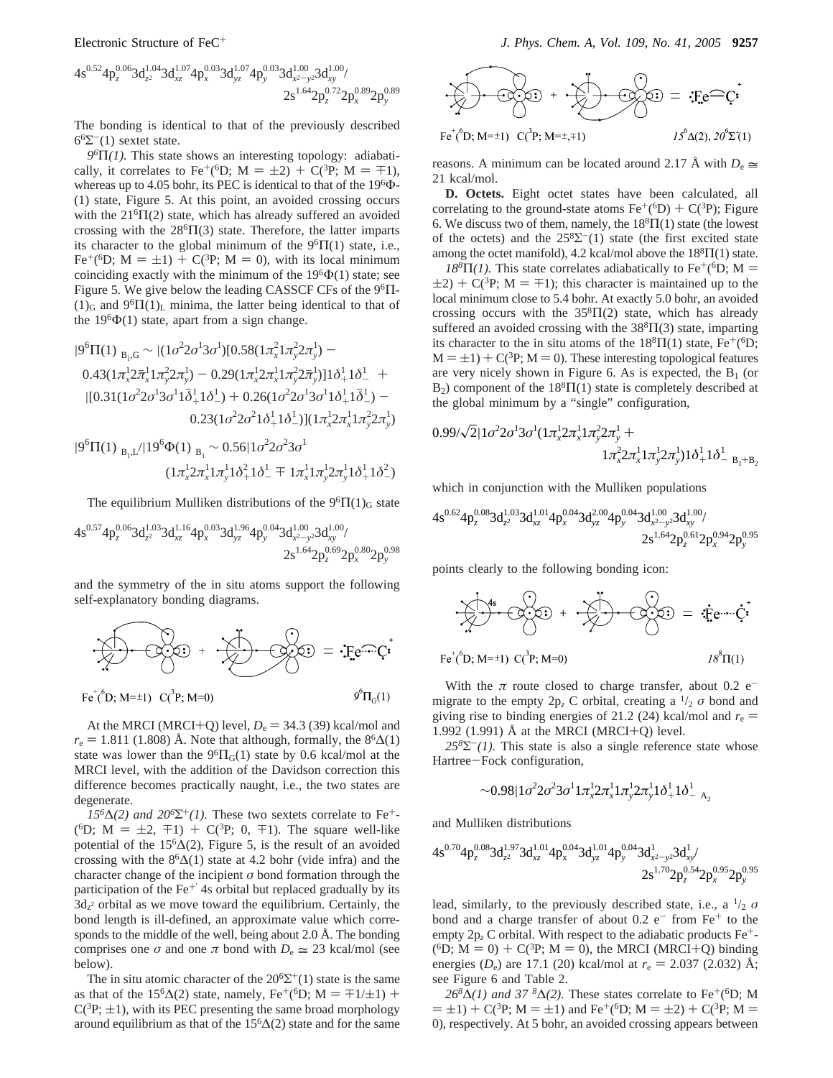$$
4s^{0.52}4p_z^{0.06}3d_{z^2}^{1.04}3d_{xz}^{1.07}4p_x^{0.03}3d_{yz}^{1.07}4p_y^{0.03}3d_{x^2-y^2}^{1.00}3d_{xy}^{1.00}/\\2s^{1.64}2p_z^{0.72}2p_x^{0.89}2p_y^{0.89}
$$

The bonding is identical to that of the previously described  $6^6\Sigma^{-}(1)$  sextet state.

*96*Π*(1).* This state shows an interesting topology: adiabatically, it correlates to Fe<sup>+</sup>(<sup>6</sup>D; M =  $\pm$ 2) + C(<sup>3</sup>P; M =  $\mp$ 1), whereas up to 4.05 bohr, its PEC is identical to that of the 196Φ- (1) state, Figure 5. At this point, an avoided crossing occurs with the  $21<sup>6</sup>\Pi(2)$  state, which has already suffered an avoided crossing with the  $28^{6}\Pi(3)$  state. Therefore, the latter imparts its character to the global minimum of the  $9<sup>6</sup>\Pi(1)$  state, i.e., Fe<sup>+</sup>(<sup>6</sup>D; M =  $\pm$ 1) + C(<sup>3</sup>P; M = 0), with its local minimum coinciding exactly with the minimum of the  $19^6\Phi(1)$  state; see Figure 5. We give below the leading CASSCF CFs of the 96Π-  $(1)$ <sub>G</sub> and  $9<sup>6</sup>\Pi(1)$ <sub>L</sub> minima, the latter being identical to that of the  $19<sup>6</sup>\Phi(1)$  state, apart from a sign change.

$$
|9^{6}\Pi(1)\rangle_{B_{1},G} \sim |(1\sigma^{2}2\sigma^{1}3\sigma^{1})[0.58(1\pi_{x}^{2}1\pi_{y}^{2}2\pi_{y}^{1}) -
$$
  
\n
$$
0.43(1\pi_{x}^{1}2\bar{\pi}_{x}^{1}1\pi_{y}^{2}2\pi_{y}^{1}) - 0.29(1\pi_{x}^{1}2\pi_{x}^{1}1\pi_{y}^{2}2\bar{\pi}_{y}^{1})]1\delta_{+}^{1}1\delta_{-}^{1} +
$$
  
\n
$$
|[0.31(1\sigma^{2}2\sigma^{1}3\sigma^{1}1\bar{\delta}_{+}^{1}1\delta_{-}^{1}) + 0.26(1\sigma^{2}2\sigma^{1}3\sigma^{1}1\delta_{+}^{1}1\bar{\delta}_{-}^{1}) -
$$
  
\n
$$
0.23(1\sigma^{2}2\sigma^{2}1\delta_{+}^{1}1\delta_{-}^{1})](1\pi_{x}^{1}2\pi_{x}^{1}1\pi_{y}^{2}2\pi_{y}^{1})
$$

$$
|9^{6}\Pi(1)\rangle_{B_{1},L}/|19^{6}\Phi(1)\rangle_{B_{1}} \sim 0.56|1\sigma^{2}2\sigma^{2}3\sigma^{1}
$$

$$
(1\pi_{x}^{1}2\pi_{x}^{1}1\pi_{y}^{1}1\delta_{+}^{2}1\delta_{-}^{1} \mp 1\pi_{x}^{1}1\pi_{y}^{1}2\pi_{y}^{1}1\delta_{+}^{1}1\delta_{-}^{2})\rangle
$$

The equilibrium Mulliken distributions of the  $9<sup>6</sup>\Pi(1)<sub>G</sub>$  state

$$
4s^{0.57}4p_z^{0.06}3d_{z^2}^{1.03}3d_{xz}^{1.16}4p_x^{0.03}3d_{yz}^{1.96}4p_y^{0.04}3d_{x^2-y^2}^{1.00}3d_{xy}^{1.00}/\\2s^{1.64}2p_z^{0.69}2p_x^{0.80}2p_y^{0.98}
$$

and the symmetry of the in situ atoms support the following self-explanatory bonding diagrams.

$$
\sum_{\mathbf{F} \in \mathcal{F}^*(\mathbf{D}; \mathbf{M}=\pm 1)} \overbrace{C(\mathbf{D}^2; \mathbf{M}=\mathbf{0})}^{\mathbf{F}^*(\mathbf{D}^2)} = \sum_{\mathbf{F} \in \mathcal{F}^*(\mathbf{D}; \mathbf{M}=\pm 1)} \overbrace{C(\mathbf{D}^2; \mathbf{M}=\mathbf{0})}^{\mathbf{F}^*(\mathbf{D}^2)} = \sum_{\mathbf{F} \in \mathcal{F}^*(\mathbf{D})}^{\mathbf{F}^*(\mathbf{D}^2)} \overbrace{C(\mathbf{D}^2; \mathbf{M}=\pm 1)}^{\mathbf{F}^*(\mathbf{D}^2)} = \sum_{\mathbf{F} \in \mathcal{F}^*(\mathbf{D})}^{\mathbf{F}^*(\mathbf{D}^2)} \overbrace{C(\mathbf{D}^2; \mathbf{M}=\pm 1)}^{\mathbf{F}^*(\mathbf{D}^2)} = \sum_{\mathbf{F} \in \mathcal{F}^*(\mathbf{D})}^{\mathbf{F}^*(\mathbf{D}^2)} \overbrace{C(\mathbf{D}^2; \mathbf{M}=\pm 1)}^{\mathbf{F}^*(\mathbf{D}^2)} = \sum_{\mathbf{F} \in \mathcal{F}^*(\mathbf{D})}^{\mathbf{F}^*(\mathbf{D}^2)} \overbrace{C(\mathbf{D}^2; \mathbf{M}=\pm 1)}^{\mathbf{F}^*(\mathbf{D}^2)} = \sum_{\mathbf{F} \in \mathcal{F}^*(\mathbf{D})}^{\mathbf{F}^*(\mathbf{D}^2)} \overbrace{C(\mathbf{D}^2; \mathbf{M}=\pm 1)}^{\mathbf{F}^*(\mathbf{D}^2)} = \sum_{\mathbf{F} \in \mathcal{F}^*(\mathbf{D})}^{\mathbf{F}^*(\mathbf{D}^2)} \overbrace{C(\mathbf{D}^2; \mathbf{M}=\pm 1)}^{\mathbf{F}^*(\mathbf{D}^2)} = \sum_{\mathbf{F} \in \mathcal{F}^*(\mathbf{D})}^{\mathbf{F}^*(\mathbf{D}^2)} \overbrace{C(\mathbf{D}^2; \mathbf{M}=\pm 1
$$

At the MRCI (MRCI+Q) level,  $D_e = 34.3$  (39) kcal/mol and  $r_e = 1.811$  (1.808) Å. Note that although, formally, the  $8^6\Delta(1)$ state was lower than the  $9<sup>6</sup>\Pi<sub>G</sub>(1)$  state by 0.6 kcal/mol at the MRCI level, with the addition of the Davidson correction this difference becomes practically naught, i.e., the two states are degenerate.

 $15^{6}\Delta(2)$  and  $20^{6}\Sigma^{+}(1)$ . These two sextets correlate to Fe<sup>+</sup>-(<sup>6</sup>D; M =  $\pm 2$ ,  $\mp 1$ ) + C(<sup>3</sup>P; 0,  $\mp 1$ ). The square well-like potential of the  $15<sup>6</sup>\Delta(2)$ , Figure 5, is the result of an avoided crossing with the  $8<sup>6</sup>\Delta(1)$  state at 4.2 bohr (vide infra) and the character change of the incipient *σ* bond formation through the participation of the  $Fe<sup>+/-</sup>$  4s orbital but replaced gradually by its  $3d<sub>z</sub>$ <sup>2</sup> orbital as we move toward the equilibrium. Certainly, the bond length is ill-defined, an approximate value which corresponds to the middle of the well, being about 2.0 Å. The bonding comprises one  $\sigma$  and one  $\pi$  bond with  $D_e \approx 23$  kcal/mol (see below).

The in situ atomic character of the  $20^6\Sigma^+(1)$  state is the same as that of the 15<sup>6</sup> $\Delta$ (2) state, namely, Fe<sup>+</sup>(<sup>6</sup>D; M =  $\mp$ 1/ $\pm$ 1) +  $C(^{3}P; \pm 1)$ , with its PEC presenting the same broad morphology around equilibrium as that of the  $15<sup>6</sup>\Delta(2)$  state and for the same



reasons. A minimum can be located around 2.17 Å with  $D_e \approx$ 21 kcal/mol.

**D. Octets.** Eight octet states have been calculated, all correlating to the ground-state atoms  $Fe^+(^6D) + C(^3P)$ ; Figure 6. We discuss two of them, namely, the  $18^{8}\Pi(1)$  state (the lowest of the octets) and the  $25^{8}\Sigma^{-}(1)$  state (the first excited state among the octet manifold), 4.2 kcal/mol above the  $18^{8}\Pi(1)$  state.

 $18^{8}\Pi(1)$ . This state correlates adiabatically to Fe<sup>+</sup>(<sup>6</sup>D; M =  $(2+2) + C({}^{3}P; M = \pm 1)$ ; this character is maintained up to the local minimum close to 5.4 bohr. At exactly 5.0 bohr, an avoided crossing occurs with the  $35<sup>8</sup>\Pi(2)$  state, which has already suffered an avoided crossing with the  $38^\circ\Pi(3)$  state, imparting its character to the in situ atoms of the  $18^8\Pi(1)$  state, Fe<sup>+</sup>(<sup>6</sup>D;  $M = \pm 1$ ) + C(<sup>3</sup>P; M = 0). These interesting topological features are very nicely shown in Figure 6. As is expected, the  $B_1$  (or  $B_2$ ) component of the  $18^8\Pi(1)$  state is completely described at the global minimum by a "single" configuration,

$$
0.99/\sqrt{2}|1\sigma^22\sigma^13\sigma^1(1\pi_x^12\pi_x^11\pi_y^22\pi_y^1 + \\ 1\pi_x^22\pi_x^11\pi_y^12\pi_y^1)1\delta_+^11\delta_-^1\rangle_{B_1+B_2}
$$

which in conjunction with the Mulliken populations

$$
\substack{4s^{0.62}4p_z^{0.08}3d_{z^2}^{1.03}3d_{xz}^{1.01}4p_x^{0.04}3d_{yz}^{2.00}4p_y^{0.04}3d_{xz^2-y^2}^{1.00}3d_{xy}^{1.00}/}{2s^{1.64}2p_z^{0.61}2p_x^{0.94}2p_y^{0.95}}
$$

points clearly to the following bonding icon:

$$
\sum_{\mathbf{F} \in \mathbf{F}^*(\mathbf{D}; \, \mathbf{M} = \pm 1)}^{\mathbf{F} \mathbf{A}^{\mathbf{s}}} \mathbf{C}(\mathbf{D}^{\mathbf{s}}) + \sum_{\mathbf{F} \in \mathbf{F}^*(\mathbf{D}; \, \mathbf{M} = \pm 1)}^{\mathbf{F} \mathbf{s}} \mathbf{C}(\mathbf{D}^{\mathbf{s}}; \mathbf{M} = 0) = \sum_{\mathbf{F} \in \mathbf{F}^*(\mathbf{D}; \, \mathbf{M} = \pm 1)}^{\mathbf{F} \mathbf{s}} \mathbf{C}(\mathbf{D}^{\mathbf{s}}; \mathbf{M} = 0)
$$

With the  $\pi$  route closed to charge transfer, about 0.2 e<sup>-</sup> migrate to the empty  $2p_z C$  orbital, creating a  $\frac{1}{2} \sigma$  bond and giving rise to binding energies of 21.2 (24) kcal/mol and  $r_e$  = 1.992 (1.991) Å at the MRCI (MRCI+Q) level.

 $25^{8}\Sigma^{-}(1)$ . This state is also a single reference state whose Hartree-Fock configuration,

$$
\displaystyle\!\sim\!\!0.98|1\sigma^22\sigma^23\sigma^11\pi_x^1\!2\pi_x^11\pi_y^1\!2\pi_y^11\delta_+^11\delta_{-\lambda_{\Delta_2}}^1
$$

and Mulliken distributions

$$
4s^{0.70}4p_z^{0.08}3d_{z^2}^{1.97}3d_{xz}^{1.01}4p_x^{0.04}3d_{yz}^{1.01}4p_y^{0.04}3d_{x^2-y^2}^13d_{xy}^1/\\2s^{1.70}2p_z^{0.54}2p_x^{0.95}2p_y^{0.95}
$$

lead, similarly, to the previously described state, i.e., a  $\frac{1}{2}$   $\sigma$ bond and a charge transfer of about  $0.2 e^-$  from Fe<sup>+</sup> to the empty  $2p_z C$  orbital. With respect to the adiabatic products  $Fe<sup>+</sup>$ ( ${}^{6}D$ ; M = 0) + C( ${}^{3}P$ ; M = 0), the MRCI (MRCI+Q) binding energies ( $D_e$ ) are 17.1 (20) kcal/mol at  $r_e = 2.037$  (2.032) Å; see Figure 6 and Table 2.

 $26^{8}\Delta(1)$  and 37  $^{8}\Delta(2)$ . These states correlate to Fe<sup>+</sup>(<sup>6</sup>D; M  $(1) = \pm 1$ ) + C(<sup>3</sup>P; M =  $\pm 1$ ) and Fe<sup>+</sup>(<sup>6</sup>D; M =  $\pm 2$ ) + C(<sup>3</sup>P; M = 0), respectively. At 5 bohr, an avoided crossing appears between